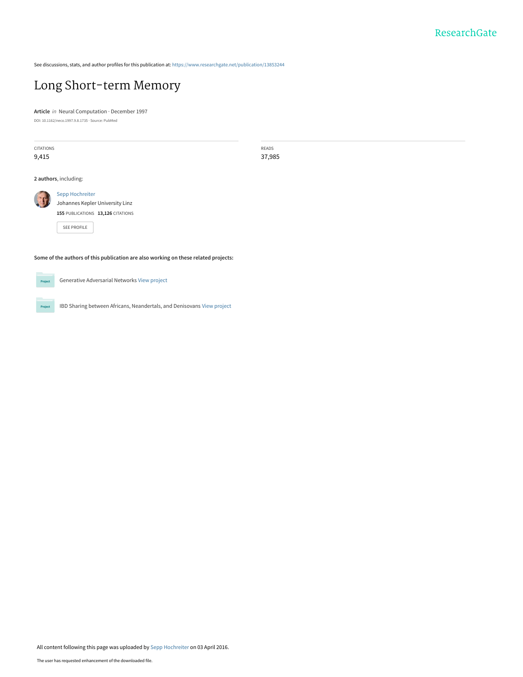See discussions, stats, and author profiles for this publication at: [https://www.researchgate.net/publication/13853244](https://www.researchgate.net/publication/13853244_Long_Short-term_Memory?enrichId=rgreq-a89ecd0595255036a6066b51e1f79ab1-XXX&enrichSource=Y292ZXJQYWdlOzEzODUzMjQ0O0FTOjM0NjcyMjU5ODQ0MDk2MUAxNDU5Njc2NTE3MzU0&el=1_x_2&_esc=publicationCoverPdf)

# [Long Short-term Memory](https://www.researchgate.net/publication/13853244_Long_Short-term_Memory?enrichId=rgreq-a89ecd0595255036a6066b51e1f79ab1-XXX&enrichSource=Y292ZXJQYWdlOzEzODUzMjQ0O0FTOjM0NjcyMjU5ODQ0MDk2MUAxNDU5Njc2NTE3MzU0&el=1_x_3&_esc=publicationCoverPdf)

**Article** in Neural Computation · December 1997 DOI: 10.1162/neco.1997.9.8.1735 · Source: PubMed

CITATIONS 9,415

READS 37,985

**2 authors**, including:



[Sepp Hochreiter](https://www.researchgate.net/profile/Sepp_Hochreiter?enrichId=rgreq-a89ecd0595255036a6066b51e1f79ab1-XXX&enrichSource=Y292ZXJQYWdlOzEzODUzMjQ0O0FTOjM0NjcyMjU5ODQ0MDk2MUAxNDU5Njc2NTE3MzU0&el=1_x_5&_esc=publicationCoverPdf) [Johannes Kepler University Linz](https://www.researchgate.net/institution/Johannes_Kepler_University_Linz?enrichId=rgreq-a89ecd0595255036a6066b51e1f79ab1-XXX&enrichSource=Y292ZXJQYWdlOzEzODUzMjQ0O0FTOjM0NjcyMjU5ODQ0MDk2MUAxNDU5Njc2NTE3MzU0&el=1_x_6&_esc=publicationCoverPdf) **155** PUBLICATIONS **13,126** CITATIONS

[SEE PROFILE](https://www.researchgate.net/profile/Sepp_Hochreiter?enrichId=rgreq-a89ecd0595255036a6066b51e1f79ab1-XXX&enrichSource=Y292ZXJQYWdlOzEzODUzMjQ0O0FTOjM0NjcyMjU5ODQ0MDk2MUAxNDU5Njc2NTE3MzU0&el=1_x_7&_esc=publicationCoverPdf)

**Some of the authors of this publication are also working on these related projects:**



Projec

Generative Adversarial Networks [View project](https://www.researchgate.net/project/Generative-Adversarial-Networks?enrichId=rgreq-a89ecd0595255036a6066b51e1f79ab1-XXX&enrichSource=Y292ZXJQYWdlOzEzODUzMjQ0O0FTOjM0NjcyMjU5ODQ0MDk2MUAxNDU5Njc2NTE3MzU0&el=1_x_9&_esc=publicationCoverPdf)

IBD Sharing between Africans, Neandertals, and Denisovans [View project](https://www.researchgate.net/project/IBD-Sharing-between-Africans-Neandertals-and-Denisovans?enrichId=rgreq-a89ecd0595255036a6066b51e1f79ab1-XXX&enrichSource=Y292ZXJQYWdlOzEzODUzMjQ0O0FTOjM0NjcyMjU5ODQ0MDk2MUAxNDU5Njc2NTE3MzU0&el=1_x_9&_esc=publicationCoverPdf)

All content following this page was uploaded by [Sepp Hochreiter](https://www.researchgate.net/profile/Sepp_Hochreiter?enrichId=rgreq-a89ecd0595255036a6066b51e1f79ab1-XXX&enrichSource=Y292ZXJQYWdlOzEzODUzMjQ0O0FTOjM0NjcyMjU5ODQ0MDk2MUAxNDU5Njc2NTE3MzU0&el=1_x_10&_esc=publicationCoverPdf) on 03 April 2016.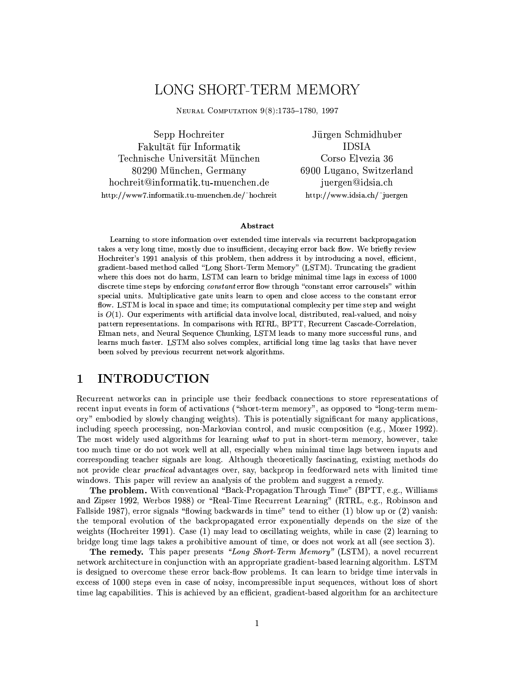## LONG SHORT-TERM MEMORY

NEURAL COMPUTATION 9(8):1735-1780, 1997

Sepp Hochreiter Fakultät für Informatik Technische Universität München 80290 München, Germany hochreit@informatik.tu-muenchen.de http://www7.informatik.tu-muenchen.de/~hochreit

Jürgen Schmidhuber **IDSIA** Corso Elvezia 36 6900 Lugano, Switzerland juergen@idsia.ch http://www.idsia.ch/~juergen

### Abstract

Learning to store information over extended time intervals via recurrent backpropagation takes a very long time, mostly due to insufficient, decaying error back flow. We briefly review Hochreiter's 1991 analysis of this problem, then address it by introducing a novel, efficient, gradient-based method called "Long Short-Term Memory" (LSTM). Truncating the gradient where this does not do harm, LSTM can learn to bridge minimal time lags in excess of 1000 discrete time steps by enforcing constant error flow through "constant error carrousels" within special units. Multiplicative gate units learn to open and close access to the constant error flow. LSTM is local in space and time; its computational complexity per time step and weight is  $O(1)$ . Our experiments with artificial data involve local, distributed, real-valued, and noisy pattern representations. In comparisons with RTRL, BPTT, Recurrent Cascade-Correlation, Elman nets, and Neural Sequence Chunking, LSTM leads to many more successful runs, and learns much faster. LSTM also solves complex, artificial long time lag tasks that have never been solved by previous recurrent network algorithms.

#### $\mathbf{1}$ **INTRODUCTION**

Recurrent networks can in principle use their feedback connections to store representations of recent input events in form of activations ("short-term memory", as opposed to "long-term memory" embodied by slowly changing weights). This is potentially significant for many applications, including speech processing, non-Markovian control, and music composition (e.g., Mozer 1992). The most widely used algorithms for learning what to put in short-term memory, however, take too much time or do not work well at all, especially when minimal time lags between inputs and corresponding teacher signals are long. Although theoretically fascinating, existing methods do not provide clear *practical* advantages over, say, backprop in feedforward nets with limited time windows. This paper will review an analysis of the problem and suggest a remedy.

The problem. With conventional "Back-Propagation Through Time" (BPTT, e.g., Williams and Zipser 1992, Werbos 1988) or "Real-Time Recurrent Learning" (RTRL, e.g., Robinson and Fallside 1987), error signals "flowing backwards in time" tend to either (1) blow up or (2) vanish: the temporal evolution of the backpropagated error exponentially depends on the size of the weights (Hochreiter 1991). Case  $(1)$  may lead to oscillating weights, while in case  $(2)$  learning to bridge long time lags takes a prohibitive amount of time, or does not work at all (see section 3).

**The remedy.** This paper presents "Long Short-Term Memory" (LSTM), a novel recurrent network architecture in conjunction with an appropriate gradient-based learning algorithm. LSTM is designed to overcome these error back-flow problems. It can learn to bridge time intervals in excess of 1000 steps even in case of noisy, incompressible input sequences, without loss of short time lag capabilities. This is achieved by an efficient, gradient-based algorithm for an architecture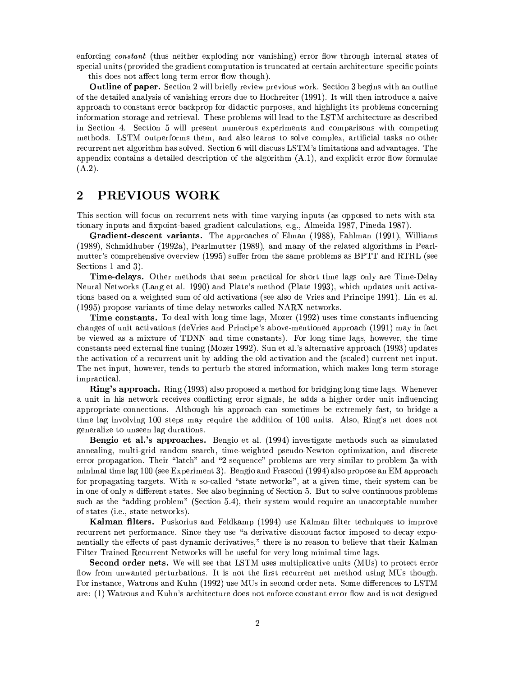enforcing constant (thus neither exploding nor vanishing) error flow through internal states of special units (provided the gradient computation is truncated at certain architecture-specific points — this does not affect long-term error flow though).

**Outline of paper.** Section 2 will briefly review previous work. Section 3 begins with an outline of the detailed analysis of vanishing errors due to Hochreiter (1991). It will then introduce a naive approach to constant error backprop for didactic purposes, and highlight its problems concerning information storage and retrieval. These problems will lead to the LSTM architecture as described in Section 4. Section 5 will present numerous experiments and comparisons with competing methods. LSTM outperforms them, and also learns to solve complex, artificial tasks no other recurrent net algorithm has solved. Section 6 will discuss LSTM's limitations and advantages. The appendix contains a detailed description of the algorithm  $(A.1)$ , and explicit error flow formulae  $(A.2).$ 

#### $\bf{2}$ PREVIOUS WORK

This section will focus on recurrent nets with time-varying inputs (as opposed to nets with stationary inputs and fixpoint-based gradient calculations, e.g., Almeida 1987, Pineda 1987).

Gradient-descent variants. The approaches of Elman (1988), Fahlman (1991), Williams (1989), Schmidhuber (1992a), Pearlmutter (1989), and many of the related algorithms in Pearlmutter's comprehensive overview (1995) suffer from the same problems as BPTT and RTRL (see Sections 1 and 3).

Time-delays. Other methods that seem practical for short time lags only are Time-Delay Neural Networks (Lang et al. 1990) and Plate's method (Plate 1993), which updates unit activations based on a weighted sum of old activations (see also de Vries and Principe 1991). Lin et al. (1995) propose variants of time-delay networks called NARX networks.

**Time constants.** To deal with long time lags, Mozer (1992) uses time constants influencing changes of unit activations (deVries and Principe's above-mentioned approach (1991) may in fact be viewed as a mixture of TDNN and time constants). For long time lags, however, the time constants need external fine tuning (Mozer 1992). Sun et al.'s alternative approach (1993) updates the activation of a recurrent unit by adding the old activation and the (scaled) current net input. The net input, however, tends to perturb the stored information, which makes long-term storage impractical.

Ring's approach. Ring (1993) also proposed a method for bridging long time lags. Whenever a unit in his network receives conflicting error signals, he adds a higher order unit influencing appropriate connections. Although his approach can sometimes be extremely fast, to bridge a time lag involving 100 steps may require the addition of 100 units. Also, Ring's net does not generalize to unseen lag durations.

**Bengio et al.'s approaches.** Bengio et al. (1994) investigate methods such as simulated annealing, multi-grid random search, time-weighted pseudo-Newton optimization, and discrete error propagation. Their "latch" and "2-sequence" problems are very similar to problem 3a with minimal time lag 100 (see Experiment 3). Bengio and Frasconi (1994) also propose an EM approach for propagating targets. With  $n$  so-called "state networks", at a given time, their system can be in one of only n different states. See also beginning of Section 5. But to solve continuous problems such as the "adding problem" (Section 5.4), their system would require an unacceptable number of states (i.e., state networks).

Kalman filters. Puskorius and Feldkamp (1994) use Kalman filter techniques to improve recurrent net performance. Since they use "a derivative discount factor imposed to decay exponentially the effects of past dynamic derivatives," there is no reason to believe that their Kalman Filter Trained Recurrent Networks will be useful for very long minimal time lags.

**Second order nets.** We will see that LSTM uses multiplicative units (MUs) to protect error flow from unwanted perturbations. It is not the first recurrent net method using MUs though. For instance, Watrous and Kuhn (1992) use MUs in second order nets. Some differences to LSTM are: (1) Watrous and Kuhn's architecture does not enforce constant error flow and is not designed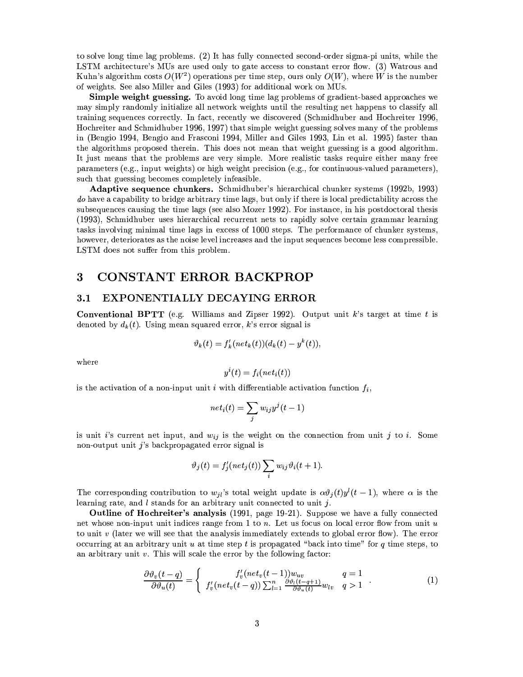to solve long time lag problems. (2) It has fully connected second-order sigma-pi units, while the LSTM architecture's MUs are used only to gate access to constant error flow. (3) Watrous and Kuhn's algorithm costs  $O(W^2)$  operations per time step, ours only  $O(W)$ , where W is the number of weights. See also Miller and Giles (1993) for additional work on MUs.

Simple weight guessing. To avoid long time lag problems of gradient-based approaches we may simply randomly initialize all network weights until the resulting net happens to classify all training sequences correctly. In fact, recently we discovered (Schmidhuber and Hochreiter 1996, Hochreiter and Schmidhuber 1996, 1997) that simple weight guessing solves many of the problems in (Bengio 1994, Bengio and Frasconi 1994, Miller and Giles 1993, Lin et al. 1995) faster than the algorithms proposed therein. This does not mean that weight guessing is a good algorithm. It just means that the problems are very simple. More realistic tasks require either many free parameters (e.g., input weights) or high weight precision (e.g., for continuous-valued parameters), such that guessing becomes completely infeasible.

**Adaptive sequence chunkers.** Schmidhuber's hierarchical chunker systems (1992b, 1993) do have a capability to bridge arbitrary time lags, but only if there is local predictability across the subsequences causing the time lags (see also Mozer 1992). For instance, in his postdoctoral thesis (1993), Schmidhuber uses hierarchical recurrent nets to rapidly solve certain grammar learning tasks involving minimal time lags in excess of 1000 steps. The performance of chunker systems, however, deteriorates as the noise level increases and the input sequences become less compressible. LSTM does not suffer from this problem.

#### 3 **CONSTANT ERROR BACKPROP**

#### EXPONENTIALLY DECAYING ERROR  $3.1$

**Conventional BPTT** (e.g. Williams and Zipser 1992). Output unit k's target at time t is denoted by  $d_k(t)$ . Using mean squared error, k's error signal is

$$
\vartheta_k(t) = f'_k(net_k(t))(d_k(t) - y^k(t)),
$$

where

$$
y^i(t) = f_i(net_i(t))
$$

is the activation of a non-input unit i with differentiable activation function  $f_i$ ,

$$
net_i(t) = \sum_j w_{ij}y^j(t-1)
$$

is unit i's current net input, and  $w_{ij}$  is the weight on the connection from unit j to i. Some non-output unit  $j$ 's backpropagated error signal is

$$
\vartheta_j(t) = f'_j(net_j(t)) \sum_i w_{ij} \vartheta_i(t+1).
$$

The corresponding contribution to  $w_{jl}$ 's total weight update is  $\alpha \vartheta_j(t) y^l(t-1)$ , where  $\alpha$  is the learning rate, and  $l$  stands for an arbitrary unit connected to unit  $j$ .

**Outline of Hochreiter's analysis** (1991, page 19-21). Suppose we have a fully connected net whose non-input unit indices range from 1 to n. Let us focus on local error flow from unit  $u$ to unit  $v$  (later we will see that the analysis immediately extends to global error flow). The error occurring at an arbitrary unit u at time step t is propagated "back into time" for q time steps, to an arbitrary unit  $v$ . This will scale the error by the following factor:

$$
\frac{\partial \vartheta_v(t-q)}{\partial \vartheta_u(t)} = \begin{cases} f'_v(net_v(t-1))w_{uv} & q=1\\ f'_v(net_v(t-q))\sum_{l=1}^n \frac{\partial \vartheta_l(t-q+1)}{\partial \vartheta_u(t)}w_{lv} & q>1 \end{cases} . \tag{1}
$$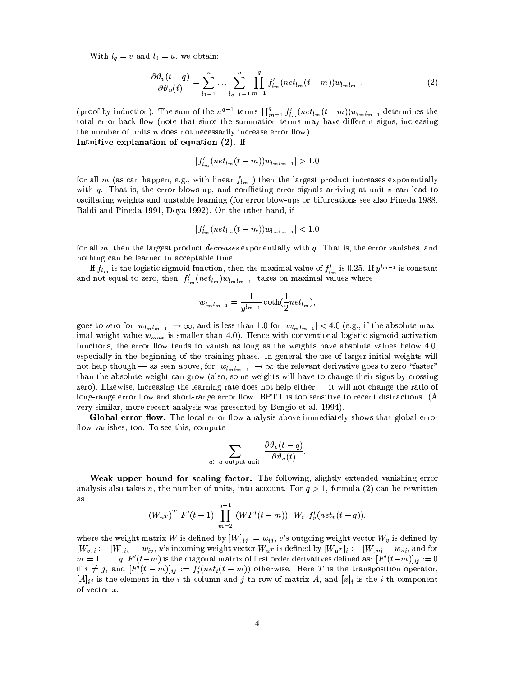With  $l_q = v$  and  $l_0 = u$ , we obtain:

$$
\frac{\partial \vartheta_v(t-q)}{\partial \vartheta_u(t)} = \sum_{l_1=1}^n \dots \sum_{l_{q-1}=1}^n \prod_{m=1}^q f'_{l_m}(net_{l_m}(t-m))w_{l_m l_{m-1}} \tag{2}
$$

(proof by induction). The sum of the  $n^{q-1}$  terms  $\prod_{m=1}^{q} f'_{l_m}(net_{l_m}(t-m))w_{l_m l_{m-1}}$  determines the total error back flow (note that since the summation terms may have different signs, increasing the number of units  $n$  does not necessarily increase error flow). Intuitive explanation of equation (2). If

 $|f'_{l_m}(net_{l_m}(t-m))w_{l_m l_{m-1}}|>1.0$ 

for all m (as can happen, e.g., with linear  $f_{l_m}$ ) then the largest product increases exponentially with  $q$ . That is, the error blows up, and conflicting error signals arriving at unit  $v$  can lead to oscillating weights and unstable learning (for error blow-ups or bifurcations see also Pineda 1988, Baldi and Pineda 1991, Doya 1992). On the other hand, if

$$
|f'_{l_m}(net_{l_m}(t-m))w_{l_ml_{m-1}}| < 1.0
$$

for all  $m$ , then the largest product *decreases* exponentially with  $q$ . That is, the error vanishes, and nothing can be learned in acceptable time.

If  $f_{l_m}$  is the logistic sigmoid function, then the maximal value of  $f'_{l_m}$  is 0.25. If  $y^{l_{m-1}}$  is constant and not equal to zero, then  $|f'_{l_m}(net_{l_m})w_{l_ml_{m-1}}|$  takes on maximal values where

$$
w_{l_m l_{m-1}} = \frac{1}{y^{l_{m-1}}} \coth(\frac{1}{2} net_{l_m}),
$$

goes to zero for  $|w_{l_m l_{m-1}}| \to \infty$ , and is less than 1.0 for  $|w_{l_m l_{m-1}}| < 4.0$  (e.g., if the absolute maximal weight value  $w_{max}$  is smaller than 4.0). Hence with conventional logistic sigmoid activation functions, the error flow tends to vanish as long as the weights have absolute values below 4.0, especially in the beginning of the training phase. In general the use of larger initial weights will not help though – as seen above, for  $|w_{lm}|_{m=1}| \to \infty$  the relevant derivative goes to zero "faster" than the absolute weight can grow (also, some weights will have to change their signs by crossing zero). Likewise, increasing the learning rate does not help either  $-$  it will not change the ratio of long-range error flow and short-range error flow. BPTT is too sensitive to recent distractions. (A very similar, more recent analysis was presented by Bengio et al. 1994).

Global error flow. The local error flow analysis above immediately shows that global error flow vanishes, too. To see this, compute

$$
\sum_{u \text{ output unit}} \frac{\partial \vartheta_v(t - q)}{\partial \vartheta_u(t)}
$$

 $u$ :

Weak upper bound for scaling factor. The following, slightly extended vanishing error analysis also takes n, the number of units, into account. For  $q > 1$ , formula (2) can be rewritten as

$$
(W_u\tau)^T F'(t-1) \prod_{m=2}^{q-1} (WF'(t-m)) W_v f'_v (net_v(t-q)),
$$

where the weight matrix W is defined by  $[W]_{ij} := w_{ij}$ , v's outgoing weight vector  $W_v$  is defined by  $[W_v]_i := [W]_{iv} = w_{iv}, u$ 's incoming weight vector  $W_{u^T}$  is defined by  $[W_{u^T}]_i := [W]_{ui} = w_{ui}$ , and for  $m = 1, \ldots, q$ ,  $F'(t-m)$  is the diagonal matrix of first order derivatives defined as:  $[F'(t-m)]_{ij} := 0$ if  $i \neq j$ , and  $[F'(t-m)]_{ij} := f'_i(net_i(t-m))$  otherwise. Here T is the transposition operator,  $[A]_{ij}$  is the element in the *i*-th column and *j*-th row of matrix A, and  $[x]_i$  is the *i*-th component of vector  $x$ .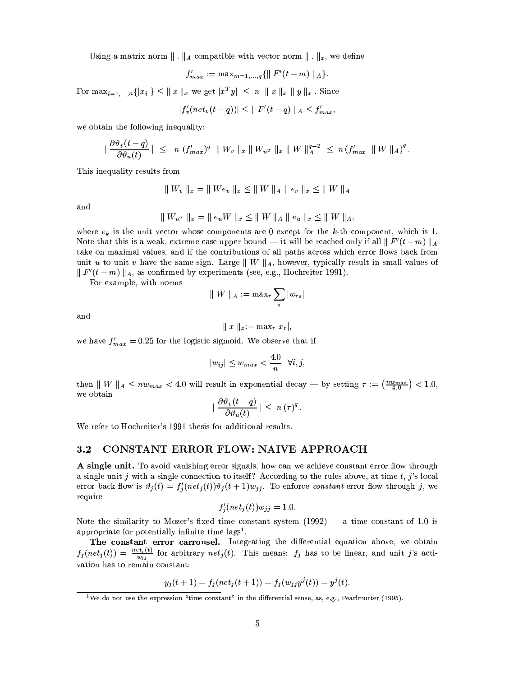Using a matrix norm  $\|\cdot\|_A$  compatible with vector norm  $\|\cdot\|_x$ , we define

$$
f'_{max} := \max_{m=1,\dots,q} \{ || F'(t-m) ||_{A} \}.
$$

For  $\max_{i=1,...,n}\{|x_i|\} \leq ||x||_x$  we get  $|x^T y| \leq n ||x||_x ||y||_x$ . Since

$$
|f'_v(net_v(t-q))| \leq ||F'(t-q)||_A \leq f'_{max}.
$$

we obtain the following inequality:

$$
|\frac{\partial \vartheta_v(t-q)}{\partial \vartheta_u(t)}| \leq n (f'_{max})^q \|W_v\|_x \|W_u\|_x \|W\|_A^{q-2} \leq n (f'_{max} \|W\|_A)^q.
$$

This inequality results from

$$
\|W_v\|_x = \|We_v\|_x \le \|W\|_A \|e_v\|_x \le \|W\|_A
$$

and

$$
\|W_{u^T}\|_x = \|e_u W\|_x \le \|W\|_A \|e_u\|_x \le \|W\|_{A}
$$

where  $e_k$  is the unit vector whose components are 0 except for the k-th component, which is 1. Note that this is a weak, extreme case upper bound — it will be reached only if all  $\|F'(t-m)\|_A$ take on maximal values, and if the contributions of all paths across which error flows back from unit u to unit v have the same sign. Large  $||W||_A$ , however, typically result in small values of  $\| F'(t-m) \|_{A}$ , as confirmed by experiments (see, e.g., Hochreiter 1991).

For example, with norms

$$
\parallel W \parallel_{A} \ := \ \max_{r} \sum_{s} |w_{rs}|
$$

and

$$
|| x ||_{x} := \max_{r} |x_r|,
$$

we have  $f'_{max} = 0.25$  for the logistic sigmoid. We observe that if

$$
|w_{ij}| \le w_{max} < \frac{4.0}{n} \quad \forall i, j,
$$

then  $||W||_A \leq nw_{max} < 4.0$  will result in exponential decay — by setting  $\tau := \left(\frac{nw_{max}}{4.0}\right) < 1.0$ , we obtain

$$
\left|\,\,\frac{\partial \vartheta_v(t-q)}{\partial \vartheta_u(t)}\,\right| \,\leq\, \,n\,(\tau)^q\,.
$$

We refer to Hochreiter's 1991 thesis for additional results.

#### CONSTANT ERROR FLOW: NAIVE APPROACH  $3.2$

A single unit. To avoid vanishing error signals, how can we achieve constant error flow through a single unit j with a single connection to itself? According to the rules above, at time  $t$ , j's local error back flow is  $\vartheta_j(t) = f'_j(net_j(t))\vartheta_j(t+1)w_{jj}$ . To enforce constant error flow through j, we require

$$
f'_i(net_j(t))w_{jj} = 1.0.
$$

Note the similarity to Mozer's fixed time constant system  $(1992)$  — a time constant of 1.0 is appropriate for potentially infinite time lags<sup>1</sup>.

The constant error carrousel. Integrating the differential equation above, we obtain  $f_j(net_j(t)) = \frac{net_j(t)}{w_{ij}}$  for arbitrary  $net_j(t)$ . This means:  $f_j$  has to be linear, and unit j's activation has to remain constant:

$$
y_j(t+1) = f_j(net_j(t+1)) = f_j(w_{jj}y^j(t)) = y^j(t).
$$

<sup>&</sup>lt;sup>1</sup>We do not use the expression "time constant" in the differential sense, as, e.g., Pearlmutter (1995).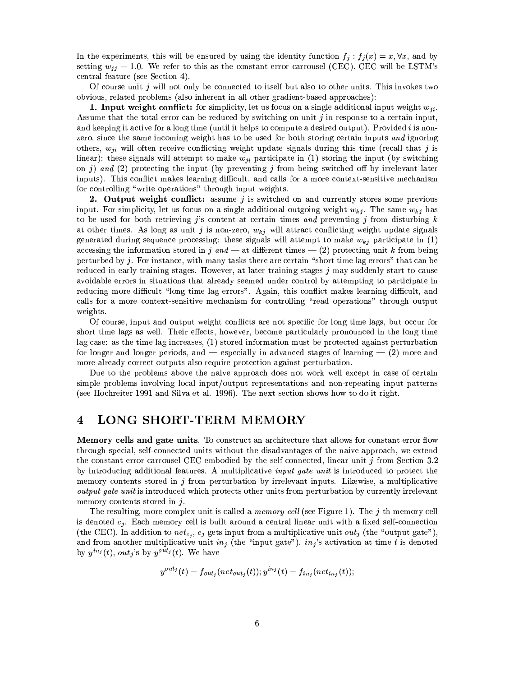In the experiments, this will be ensured by using the identity function  $f_j : f_j(x) = x, \forall x$ , and by setting  $w_{ij} = 1.0$ . We refer to this as the constant error carrousel (CEC). CEC will be LSTM's central feature (see Section 4).

Of course unit j will not only be connected to itself but also to other units. This invokes two obvious, related problems (also inherent in all other gradient-based approaches):

1. Input weight conflict: for simplicity, let us focus on a single additional input weight  $w_{ji}$ . Assume that the total error can be reduced by switching on unit  $j$  in response to a certain input, and keeping it active for a long time (until it helps to compute a desired output). Provided i is nonzero, since the same incoming weight has to be used for both storing certain inputs and ignoring others,  $w_{ji}$  will often receive conflicting weight update signals during this time (recall that j is linear): these signals will attempt to make  $w_{ji}$  participate in (1) storing the input (by switching on j) and (2) protecting the input (by preventing j from being switched off by irrelevant later inputs). This conflict makes learning difficult, and calls for a more context-sensitive mechanism for controlling "write operations" through input weights.

2. Output weight conflict: assume j is switched on and currently stores some previous input. For simplicity, let us focus on a single additional outgoing weight  $w_{ki}$ . The same  $w_{ki}$  has to be used for both retrieving j's content at certain times and preventing j from disturbing  $k$ at other times. As long as unit j is non-zero,  $w_{kj}$  will attract conflicting weight update signals generated during sequence processing: these signals will attempt to make  $w_{kj}$  participate in (1) accessing the information stored in j and — at different times — (2) protecting unit k from being perturbed by j. For instance, with many tasks there are certain "short time lag errors" that can be reduced in early training stages. However, at later training stages  $j$  may suddenly start to cause avoidable errors in situations that already seemed under control by attempting to participate in reducing more difficult "long time lag errors". Again, this conflict makes learning difficult, and calls for a more context-sensitive mechanism for controlling "read operations" through output weights.

Of course, input and output weight conflicts are not specific for long time lags, but occur for short time lags as well. Their effects, however, become particularly pronounced in the long time lag case: as the time lag increases,  $(1)$  stored information must be protected against perturbation for longer and longer periods, and  $-$  especially in advanced stages of learning  $-$  (2) more and more already correct outputs also require protection against perturbation.

Due to the problems above the naive approach does not work well except in case of certain simple problems involving local input/output representations and non-repeating input patterns (see Hochreiter 1991 and Silva et al. 1996). The next section shows how to do it right.

#### $\boldsymbol{4}$ LONG SHORT-TERM MEMORY

**Memory cells and gate units.** To construct an architecture that allows for constant error flow through special, self-connected units without the disadvantages of the naive approach, we extend the constant error carrousel CEC embodied by the self-connected, linear unit j from Section 3.2 by introducing additional features. A multiplicative *input gate unit* is introduced to protect the memory contents stored in  $j$  from perturbation by irrelevant inputs. Likewise, a multiplicative *output gate unit* is introduced which protects other units from perturbation by currently irrelevant memory contents stored in  $j$ .

The resulting, more complex unit is called a *memory cell* (see Figure 1). The j-th memory cell is denoted  $c_j$ . Each memory cell is built around a central linear unit with a fixed self-connection (the CEC). In addition to  $net_{c_i}$ ,  $c_j$  gets input from a multiplicative unit  $out_j$  (the "output gate"), and from another multiplicative unit  $in_j$  (the "input gate").  $in_j$ 's activation at time t is denoted by  $y^{in_j}(t)$ , out<sub>i</sub>'s by  $y^{out_j}(t)$ . We have

$$
y^{out_j}(t) = f_{out_j}(net_{out_j}(t));
$$
  $y^{in_j}(t) = f_{in_j}(net_{in_j}(t));$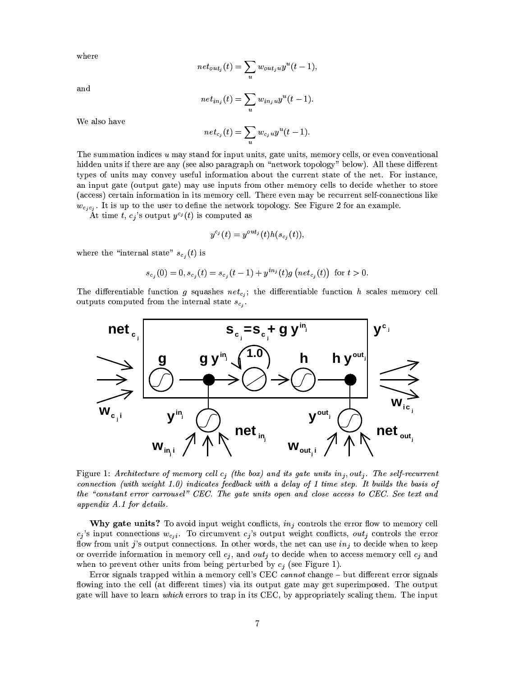where

$$
net_{out_j}(t) = \sum_{u} w_{out_j u} y^u(t-1),
$$

and

$$
net_{in_j}(t) = \sum_{u} w_{in_ju} y^u(t-1).
$$

We also have

$$
net_{c_j}(t) = \sum_{u} w_{c_ju} y^u(t-1).
$$

The summation indices  $u$  may stand for input units, gate units, memory cells, or even conventional hidden units if there are any (see also paragraph on "network topology" below). All these different types of units may convey useful information about the current state of the net. For instance, an input gate (output gate) may use inputs from other memory cells to decide whether to store (access) certain information in its memory cell. There even may be recurrent self-connections like  $w_{c_j c_j}$ . It is up to the user to define the network topology. See Figure 2 for an example.

At time t,  $c_j$ 's output  $y^{c_j}(t)$  is computed as

$$
y^{c_j}(t) = y^{out_j}(t)h(s_{c_i}(t))
$$

where the "internal state"  $s_{c_i}(t)$  is

$$
s_{c_j}(0) = 0, s_{c_j}(t) = s_{c_j}(t-1) + y^{in_j}(t)g\left(net_{c_j}(t)\right) \text{ for } t > 0.
$$

The differentiable function g squashes  $net_{c,i}$ ; the differentiable function h scales memory cell outputs computed from the internal state  $s_{c_i}$ .



Figure 1: Architecture of memory cell  $c_j$  (the box) and its gate units  $in_j,out_j$ . The self-recurrent connection (with weight  $1.0$ ) indicates feedback with a delay of 1 time step. It builds the basis of the "constant error carrousel" CEC. The gate units open and close access to CEC. See text and appendix  $A.1$  for details.

**Why gate units?** To avoid input weight conflicts,  $in_j$  controls the error flow to memory cell  $c_j$ 's input connections  $w_{c_i i}$ . To circumvent  $c_j$ 's output weight conflicts,  $out_j$  controls the error flow from unit j's output connections. In other words, the net can use  $in_j$  to decide when to keep or override information in memory cell  $c_j$ , and out<sub>j</sub> to decide when to access memory cell  $c_j$  and when to prevent other units from being perturbed by  $c_j$  (see Figure 1).

Error signals trapped within a memory cell's CEC cannot change – but different error signals flowing into the cell (at different times) via its output gate may get superimposed. The output gate will have to learn which errors to trap in its CEC, by appropriately scaling them. The input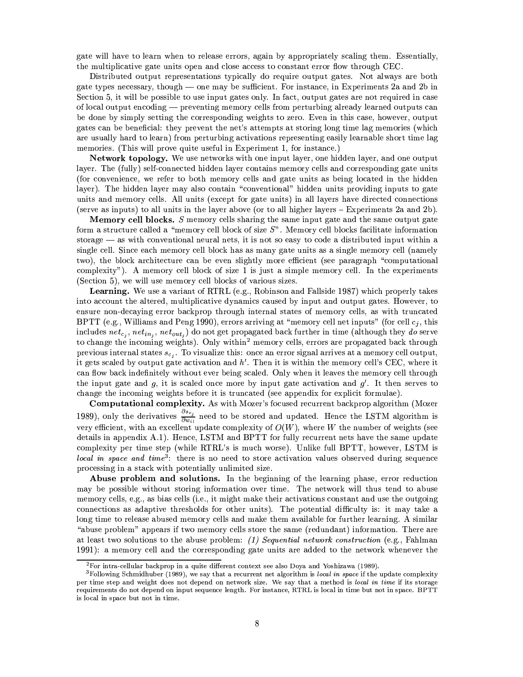gate will have to learn when to release errors, again by appropriately scaling them. Essentially, the multiplicative gate units open and close access to constant error flow through CEC.

Distributed output representations typically do require output gates. Not always are both gate types necessary, though — one may be sufficient. For instance, in Experiments 2a and 2b in Section 5, it will be possible to use input gates only. In fact, output gates are not required in case of local output encoding — preventing memory cells from perturbing already learned outputs can be done by simply setting the corresponding weights to zero. Even in this case, however, output gates can be beneficial: they prevent the net's attempts at storing long time lag memories (which are usually hard to learn) from perturbing activations representing easily learnable short time lag memories. (This will prove quite useful in Experiment 1, for instance.)

Network topology. We use networks with one input layer, one hidden layer, and one output layer. The (fully) self-connected hidden layer contains memory cells and corresponding gate units (for convenience, we refer to both memory cells and gate units as being located in the hidden layer). The hidden layer may also contain "conventional" hidden units providing inputs to gate units and memory cells. All units (except for gate units) in all layers have directed connections (serve as inputs) to all units in the layer above (or to all higher layers  $-$  Experiments 2a and 2b).

**Memory cell blocks.**  $S$  memory cells sharing the same input gate and the same output gate form a structure called a "memory cell block of size  $S$ ". Memory cell blocks facilitate information storage  $-$  as with conventional neural nets, it is not so easy to code a distributed input within a single cell. Since each memory cell block has as many gate units as a single memory cell (namely two), the block architecture can be even slightly more efficient (see paragraph "computational" complexity"). A memory cell block of size 1 is just a simple memory cell. In the experiments (Section 5), we will use memory cell blocks of various sizes.

Learning. We use a variant of RTRL (e.g., Robinson and Fallside 1987) which properly takes into account the altered, multiplicative dynamics caused by input and output gates. However, to ensure non-decaying error backprop through internal states of memory cells, as with truncated BPTT (e.g., Williams and Peng 1990), errors arriving at "memory cell net inputs" (for cell  $c_i$ , this includes  $net_{cj}$ ,  $net_{in_j}$ ,  $net_{out_j}$ ) do not get propagated back further in time (although they do serve to change the incoming weights). Only within<sup>2</sup> memory cells, errors are propagated back through previous internal states  $s_{c_i}$ . To visualize this: once an error signal arrives at a memory cell output, it gets scaled by output gate activation and  $h'$ . Then it is within the memory cell's CEC, where it can flow back indefinitely without ever being scaled. Only when it leaves the memory cell through the input gate and g, it is scaled once more by input gate activation and  $g'$ . It then serves to change the incoming weights before it is truncated (see appendix for explicit formulae).

Computational complexity. As with Mozer's focused recurrent backprop algorithm (Mozer 1989), only the derivatives  $\frac{\partial s_{cj}}{\partial w_{il}}$  need to be stored and updated. Hence the LSTM algorithm is very efficient, with an excellent update complexity of  $O(W)$ , where W the number of weights (see details in appendix A.1). Hence, LSTM and BPTT for fully recurrent nets have the same update complexity per time step (while RTRL's is much worse). Unlike full BPTT, however, LSTM is local in space and time<sup>3</sup>: there is no need to store activation values observed during sequence processing in a stack with potentially unlimited size.

Abuse problem and solutions. In the beginning of the learning phase, error reduction may be possible without storing information over time. The network will thus tend to abuse memory cells, e.g., as bias cells (i.e., it might make their activations constant and use the outgoing connections as adaptive thresholds for other units). The potential difficulty is: it may take a long time to release abused memory cells and make them available for further learning. A similar "abuse problem" appears if two memory cells store the same (redundant) information. There are at least two solutions to the abuse problem: (1) Sequential network construction (e.g., Fahlman 1991): a memory cell and the corresponding gate units are added to the network whenever the

 ${}^{2}$  For intra-cellular backprop in a quite different context see also Doya and Yoshizawa (1989).

 ${}^{3}$ Following Schmidhuber (1989), we say that a recurrent net algorithm is local in space if the update complexity per time step and weight does not depend on network size. We say that a method is local in time if its storage requirements do not depend on input sequence length. For instance, RTRL is local in time but not in space. BPTT is local in space but not in time.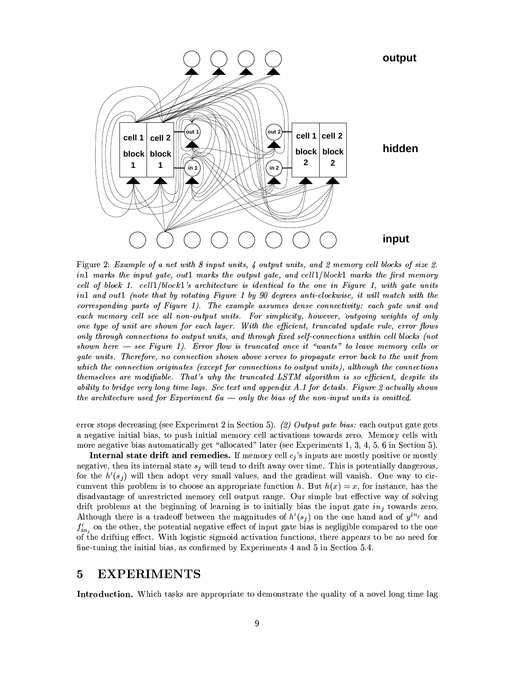

Figure 2: Example of a net with 8 input units, 4 output units, and 2 memory cell blocks of size 2. in1 marks the input gate, out1 marks the output gate, and cell1/block1 marks the first memory cell of block 1. cell1/block1's architecture is identical to the one in Figure 1, with gate units in1 and out1 (note that by rotating Figure 1 by 90 degrees anti-clockwise, it will match with the corresponding parts of Figure 1). The example assumes dense connectivity: each gate unit and each memory cell see all non-output units. For simplicity, however, outgoing weights of only one type of unit are shown for each layer. With the efficient, truncated update rule, error flows only through connections to output units, and through fixed self-connections within cell blocks (not shown here  $-$  see Figure 1). Error flow is truncated once it "wants" to leave memory cells or gate units. Therefore, no connection shown above serves to propagate error back to the unit from which the connection originates (except for connections to output units), although the connections themselves are modifiable. That's why the truncated LSTM algorithm is so efficient, despite its ability to bridge very long time lags. See text and appendix A.1 for details. Figure 2 actually shows the architecture used for Experiment  $6a - only$  the bias of the non-input units is omitted.

error stops decreasing (see Experiment 2 in Section 5). (2) Output gate bias: each output gate gets a negative initial bias, to push initial memory cell activations towards zero. Memory cells with more negative bias automatically get "allocated" later (see Experiments 1, 3, 4, 5, 6 in Section 5).

Internal state drift and remedies. If memory cell  $c_j$ 's inputs are mostly positive or mostly negative, then its internal state  $s_i$  will tend to drift away over time. This is potentially dangerous, for the  $h'(s_i)$  will then adopt very small values, and the gradient will vanish. One way to circumvent this problem is to choose an appropriate function h. But  $h(x) = x$ , for instance, has the disadvantage of unrestricted memory cell output range. Our simple but effective way of solving drift problems at the beginning of learning is to initially bias the input gate  $in_j$  towards zero. Although there is a tradeoff between the magnitudes of  $h'(s_j)$  on the one hand and of  $y^{in_j}$  and  $f'_{in}$  on the other, the potential negative effect of input gate bias is negligible compared to the one of the drifting effect. With logistic sigmoid activation functions, there appears to be no need for fine-tuning the initial bias, as confirmed by Experiments 4 and 5 in Section 5.4.

#### **EXPERIMENTS** 5

Introduction. Which tasks are appropriate to demonstrate the quality of a novel long time lag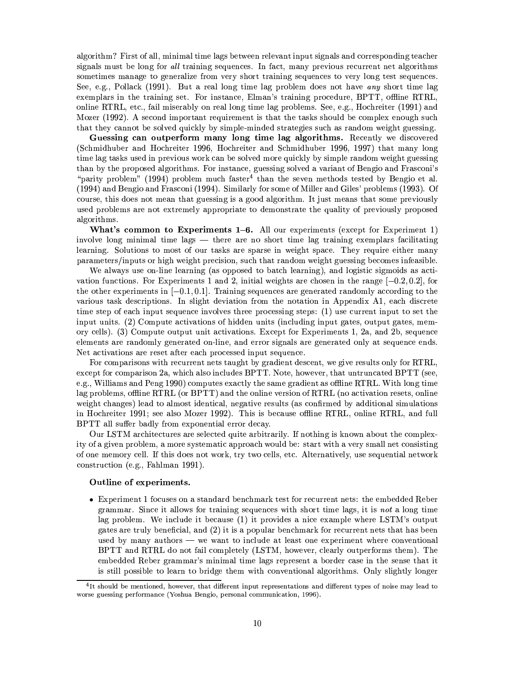algorithm? First of all, minimal time lags between relevant input signals and corresponding teacher signals must be long for all training sequences. In fact, many previous recurrent net algorithms sometimes manage to generalize from very short training sequences to very long test sequences. See, e.g., Pollack (1991). But a real long time lag problem does not have any short time lag exemplars in the training set. For instance, Elman's training procedure, BPTT, offline RTRL, online RTRL, etc., fail miserably on real long time lag problems. See, e.g., Hochreiter (1991) and Mozer (1992). A second important requirement is that the tasks should be complex enough such that they cannot be solved quickly by simple-minded strategies such as random weight guessing.

Guessing can outperform many long time lag algorithms. Recently we discovered (Schmidhuber and Hochreiter 1996, Hochreiter and Schmidhuber 1996, 1997) that many long time lag tasks used in previous work can be solved more quickly by simple random weight guessing than by the proposed algorithms. For instance, guessing solved a variant of Bengio and Frasconi's "parity problem" (1994) problem much faster<sup>4</sup> than the seven methods tested by Bengio et al. (1994) and Bengio and Frasconi (1994). Similarly for some of Miller and Giles' problems (1993). Of course, this does not mean that guessing is a good algorithm. It just means that some previously used problems are not extremely appropriate to demonstrate the quality of previously proposed algorithms.

What's common to Experiments  $1-6$ . All our experiments (except for Experiment 1) involve long minimal time lags — there are no short time lag training exemplars facilitating learning. Solutions to most of our tasks are sparse in weight space. They require either many parameters/inputs or high weight precision, such that random weight guessing becomes infeasible.

We always use on-line learning (as opposed to batch learning), and logistic sigmoids as activation functions. For Experiments 1 and 2, initial weights are chosen in the range  $[-0.2, 0.2]$ , for the other experiments in  $[-0.1, 0.1]$ . Training sequences are generated randomly according to the various task descriptions. In slight deviation from the notation in Appendix A1, each discrete time step of each input sequence involves three processing steps: (1) use current input to set the input units. (2) Compute activations of hidden units (including input gates, output gates, memory cells). (3) Compute output unit activations. Except for Experiments 1, 2a, and 2b, sequence elements are randomly generated on-line, and error signals are generated only at sequence ends. Net activations are reset after each processed input sequence.

For comparisons with recurrent nets taught by gradient descent, we give results only for RTRL. except for comparison 2a, which also includes BPTT. Note, however, that untruncated BPTT (see, e.g., Williams and Peng 1990) computes exactly the same gradient as offline RTRL. With long time lag problems, offline RTRL (or BPTT) and the online version of RTRL (no activation resets, online weight changes) lead to almost identical, negative results (as confirmed by additional simulations in Hochreiter 1991; see also Mozer 1992). This is because offline RTRL, online RTRL, and full BPTT all suffer badly from exponential error decay.

Our LSTM architectures are selected quite arbitrarily. If nothing is known about the complexity of a given problem, a more systematic approach would be: start with a very small net consisting of one memory cell. If this does not work, try two cells, etc. Alternatively, use sequential network construction (e.g., Fahlman 1991).

### Outline of experiments.

• Experiment 1 focuses on a standard benchmark test for recurrent nets: the embedded Reber grammar. Since it allows for training sequences with short time lags, it is not a long time lag problem. We include it because (1) it provides a nice example where LSTM's output gates are truly beneficial, and (2) it is a popular benchmark for recurrent nets that has been used by many authors — we want to include at least one experiment where conventional BPTT and RTRL do not fail completely (LSTM, however, clearly outperforms them). The embedded Reber grammar's minimal time lags represent a border case in the sense that it is still possible to learn to bridge them with conventional algorithms. Only slightly longer

<sup>&</sup>lt;sup>4</sup>It should be mentioned, however, that different input representations and different types of noise may lead to worse guessing performance (Yoshua Bengio, personal communication, 1996).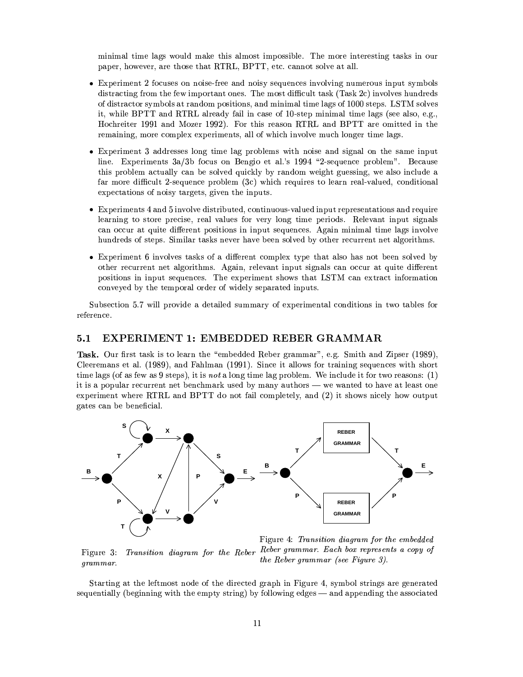minimal time lags would make this almost impossible. The more interesting tasks in our paper, however, are those that RTRL, BPTT, etc. cannot solve at all.

- Experiment 2 focuses on noise-free and noisy sequences involving numerous input symbols distracting from the few important ones. The most difficult task (Task 2c) involves hundreds of distractor symbols at random positions, and minimal time lags of 1000 steps. LSTM solves it, while BPTT and RTRL already fail in case of 10-step minimal time lags (see also, e.g., Hochreiter 1991 and Mozer 1992). For this reason RTRL and BPTT are omitted in the remaining, more complex experiments, all of which involve much longer time lags.
- Experiment 3 addresses long time lag problems with noise and signal on the same input line. Experiments 3a/3b focus on Bengio et al.'s 1994 "2-sequence problem". Because this problem actually can be solved quickly by random weight guessing, we also include a far more difficult 2-sequence problem (3c) which requires to learn real-valued, conditional expectations of noisy targets, given the inputs.
- Experiments 4 and 5 involve distributed, continuous-valued input representations and require learning to store precise, real values for very long time periods. Relevant input signals can occur at quite different positions in input sequences. Again minimal time lags involve hundreds of steps. Similar tasks never have been solved by other recurrent net algorithms.
- Experiment 6 involves tasks of a different complex type that also has not been solved by other recurrent net algorithms. Again, relevant input signals can occur at quite different positions in input sequences. The experiment shows that LSTM can extract information conveyed by the temporal order of widely separated inputs.

Subsection 5.7 will provide a detailed summary of experimental conditions in two tables for reference.

#### EXPERIMENT 1: EMBEDDED REBER GRAMMAR  $5.1$

Task. Our first task is to learn the "embedded Reber grammar", e.g. Smith and Zipser (1989), Cleeremans et al. (1989), and Fahlman (1991). Since it allows for training sequences with short time lags (of as few as 9 steps), it is *not* a long time lag problem. We include it for two reasons:  $(1)$ it is a popular recurrent net benchmark used by many authors — we wanted to have at least one experiment where RTRL and BPTT do not fail completely, and (2) it shows nicely how output gates can be beneficial.



Figure 3: grammar.

Figure 4: Transition diagram for the embedded Transition diagram for the Reber Reber grammar. Each box represents a copy of the Reber grammar (see Figure 3).

Starting at the leftmost node of the directed graph in Figure 4, symbol strings are generated sequentially (beginning with the empty string) by following edges — and appending the associated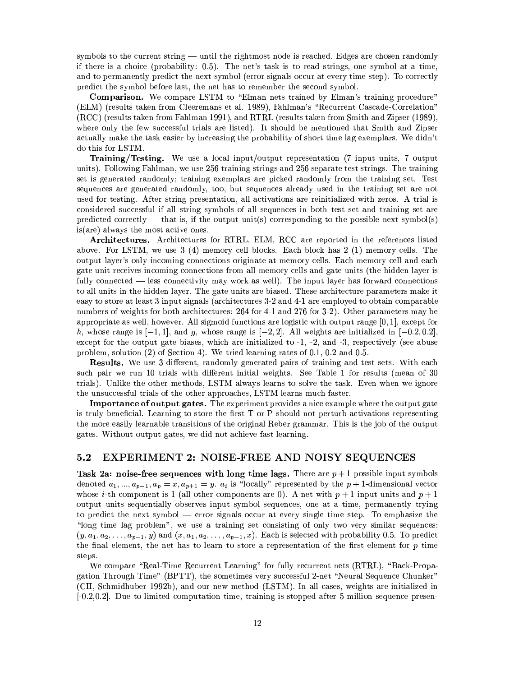symbols to the current string — until the rightmost node is reached. Edges are chosen randomly if there is a choice (probability: 0.5). The net's task is to read strings, one symbol at a time, and to permanently predict the next symbol (error signals occur at every time step). To correctly predict the symbol before last, the net has to remember the second symbol.

**Comparison.** We compare LSTM to "Elman nets trained by Elman's training procedure" (ELM) (results taken from Cleeremans et al. 1989), Fahlman's "Recurrent Cascade-Correlation" (RCC) (results taken from Fahlman 1991), and RTRL (results taken from Smith and Zipser (1989), where only the few successful trials are listed). It should be mentioned that Smith and Zipser actually make the task easier by increasing the probability of short time lag exemplars. We didn't do this for LSTM.

Training/Testing. We use a local input/output representation (7 input units, 7 output units). Following Fahlman, we use 256 training strings and 256 separate test strings. The training set is generated randomly; training exemplars are picked randomly from the training set. Test sequences are generated randomly, too, but sequences already used in the training set are not used for testing. After string presentation, all activations are reinitialized with zeros. A trial is considered successful if all string symbols of all sequences in both test set and training set are predicted correctly — that is, if the output unit(s) corresponding to the possible next symbol(s)  $is(are)$  always the most active ones.

Architectures. Architectures for RTRL, ELM, RCC are reported in the references listed above. For LSTM, we use  $3(4)$  memory cell blocks. Each block has  $2(1)$  memory cells. The output layer's only incoming connections originate at memory cells. Each memory cell and each gate unit receives incoming connections from all memory cells and gate units (the hidden layer is fully connected — less connectivity may work as well). The input layer has forward connections to all units in the hidden layer. The gate units are biased. These architecture parameters make it easy to store at least 3 input signals (architectures 3-2 and 4-1 are employed to obtain comparable numbers of weights for both architectures: 264 for 4-1 and 276 for 3-2). Other parameters may be appropriate as well, however. All sigmoid functions are logistic with output range  $[0,1]$ , except for h, whose range is  $[-1, 1]$ , and g, whose range is  $[-2, 2]$ . All weights are initialized in  $[-0.2, 0.2]$ , except for the output gate biases, which are initialized to  $-1$ ,  $-2$ , and  $-3$ , respectively (see abuse problem, solution  $(2)$  of Section 4). We tried learning rates of 0.1, 0.2 and 0.5.

**Results.** We use 3 different, randomly generated pairs of training and test sets. With each such pair we run 10 trials with different initial weights. See Table 1 for results (mean of 30 trials). Unlike the other methods, LSTM always learns to solve the task. Even when we ignore the unsuccessful trials of the other approaches, LSTM learns much faster.

**Importance of output gates.** The experiment provides a nice example where the output gate is truly beneficial. Learning to store the first T or P should not perturb activations representing the more easily learnable transitions of the original Reber grammar. This is the job of the output gates. Without output gates, we did not achieve fast learning.

#### $5.2$ **EXPERIMENT 2: NOISE-FREE AND NOISY SEQUENCES**

Task 2a: noise-free sequences with long time lags. There are  $p+1$  possible input symbols denoted  $a_1, ..., a_{p-1}, a_p = x, a_{p+1} = y$ .  $a_i$  is "locally" represented by the  $p+1$ -dimensional vector whose *i*-th component is 1 (all other components are 0). A net with  $p + 1$  input units and  $p + 1$ output units sequentially observes input symbol sequences, one at a time, permanently trying to predict the next symbol — error signals occur at every single time step. To emphasize the "long time lag problem", we use a training set consisting of only two very similar sequences:  $(y, a_1, a_2, \ldots, a_{p-1}, y)$  and  $(x, a_1, a_2, \ldots, a_{p-1}, x)$ . Each is selected with probability 0.5. To predict the final element, the net has to learn to store a representation of the first element for  $p$  time steps.

We compare "Real-Time Recurrent Learning" for fully recurrent nets (RTRL), "Back-Propagation Through Time" (BPTT), the sometimes very successful 2-net "Neural Sequence Chunker" (CH, Schmidhuber 1992b), and our new method (LSTM). In all cases, weights are initialized in  $[-0.2, 0.2]$ . Due to limited computation time, training is stopped after 5 million sequence presen-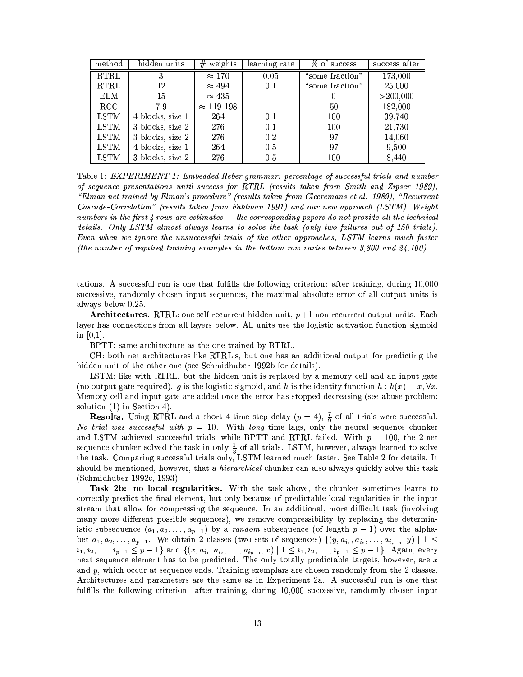| method        | hidden units     | weights<br>#      | learning rate | $%$ of success  | success after |
|---------------|------------------|-------------------|---------------|-----------------|---------------|
| <b>RTRL</b>   | 3                | $\approx 170$     | 0.05          | "some fraction" | 173,000       |
| <b>RTRL</b>   | 12               | $\approx 494$     | 0.1           | "some fraction" | 25,000        |
| <b>ELM</b>    | 15               | $\approx 435$     |               | 0               | $>$ 200,000   |
| $_{\rm RCC}$  | 7-9              | $\approx 119-198$ |               | 50              | 182,000       |
| <b>LSTM</b>   | 4 blocks, size 1 | 264               | 0.1           | 100             | 39,740        |
| <b>LSTM</b>   | 3 blocks, size 2 | 276               | 0.1           | 100             | 21,730        |
| <b>LSTM</b>   | 3 blocks, size 2 | 276               | 0.2           | 97              | 14,060        |
| $_{\rm LSTM}$ | 4 blocks, size 1 | 264               | 0.5           | 97              | 9,500         |
| <b>LSTM</b>   | 3 blocks, size 2 | 276               | 0.5           | 100             | 8,440         |

Table 1: EXPERIMENT 1: Embedded Reber grammar: percentage of successful trials and number of sequence presentations until success for RTRL (results taken from Smith and Zipser 1989), "Elman net trained by Elman's procedure" (results taken from Cleeremans et al. 1989), "Recurrent Cascade-Correlation" (results taken from Fahlman 1991) and our new approach (LSTM). Weight numbers in the first  $\ddot{A}$  rows are estimates — the corresponding papers do not provide all the technical details. Only LSTM almost always learns to solve the task (only two failures out of 150 trials). Even when we ignore the unsuccessful trials of the other approaches, LSTM learns much faster (the number of required training examples in the bottom row varies between 3,800 and  $24,100$ ).

tations. A successful run is one that fulfills the following criterion: after training, during 10,000 successive, randomly chosen input sequences, the maximal absolute error of all output units is always below 0.25.

**Architectures.** RTRL: one self-recurrent hidden unit,  $p+1$  non-recurrent output units. Each layer has connections from all layers below. All units use the logistic activation function sigmoid in  $[0,1]$ .

BPTT: same architecture as the one trained by RTRL.

CH: both net architectures like RTRL's, but one has an additional output for predicting the hidden unit of the other one (see Schmidhuber 1992b for details).

LSTM: like with RTRL, but the hidden unit is replaced by a memory cell and an input gate (no output gate required). g is the logistic sigmoid, and h is the identity function  $h : h(x) = x, \forall x$ . Memory cell and input gate are added once the error has stopped decreasing (see abuse problem: solution  $(1)$  in Section 4).

**Results.** Using RTRL and a short 4 time step delay  $(p = 4)$ ,  $\frac{7}{9}$  of all trials were successful. No trial was successful with  $p = 10$ . With long time lags, only the neural sequence chunker and LSTM achieved successful trials, while BPTT and RTRL failed. With  $p = 100$ , the 2-net sequence chunker solved the task in only  $\frac{1}{3}$  of all trials. LSTM, however, always learned to solve the task. Comparing successful trials only, LSTM learned much faster. See Table 2 for details. It should be mentioned, however, that a *hierarchical* chunker can also always quickly solve this task (Schmidhuber 1992c, 1993).

Task 2b: no local regularities. With the task above, the chunker sometimes learns to correctly predict the final element, but only because of predictable local regularities in the input stream that allow for compressing the sequence. In an additional, more difficult task (involving many more different possible sequences), we remove compressibility by replacing the deterministic subsequence  $(a_1, a_2, \ldots, a_{p-1})$  by a *random* subsequence (of length  $p-1$ ) over the alphabet  $a_1, a_2, \ldots, a_{p-1}$ . We obtain 2 classes (two sets of sequences)  $\{(y, a_{i_1}, a_{i_2}, \ldots, a_{i_{p-1}}, y) \mid 1 \leq$  $i_1, i_2, \ldots, i_{p-1} \leq p-1$  and  $\{(x, a_{i_1}, a_{i_2}, \ldots, a_{i_{p-1}}, x) \mid 1 \leq i_1, i_2, \ldots, i_{p-1} \leq p-1\}$ . Again, every next sequence element has to be predicted. The only totally predictable targets, however, are x and  $y$ , which occur at sequence ends. Training exemplars are chosen randomly from the 2 classes. Architectures and parameters are the same as in Experiment 2a. A successful run is one that fulfills the following criterion: after training, during 10,000 successive, randomly chosen input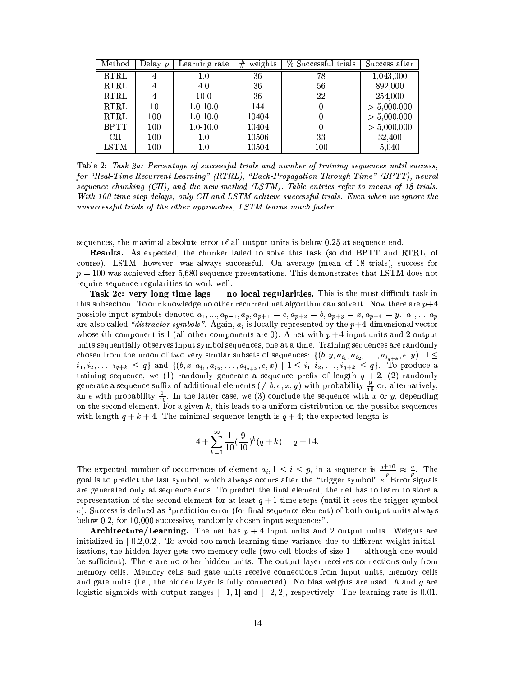| Method      | Delay $p$      | Learning rate | weights<br># | % Successful trials | Success after |
|-------------|----------------|---------------|--------------|---------------------|---------------|
| <b>RTRL</b> | 4              | 1.0           | 36           | 78                  | 1,043,000     |
| <b>RTRL</b> | 4              | 4.0           | 36           | 56                  | 892,000       |
| <b>RTRL</b> | $\overline{4}$ | 10.0          | 36           | 22                  | 254,000       |
| <b>RTRL</b> | 10             | $1.0 - 10.0$  | 144          | 0                   | > 5,000,000   |
| <b>RTRL</b> | 100            | $1.0 - 10.0$  | 10404        | 0                   | > 5,000,000   |
| <b>BPTT</b> | 100            | $1.0 - 10.0$  | 10404        | $\theta$            | > 5,000,000   |
| CН          | 100            | 1.0           | 10506        | 33                  | 32,400        |
| LSTM        | 100            | 1.0           | 10504        | 100                 | 5,040         |

Table 2: Task 2a: Percentage of successful trials and number of training sequences until success, for "Real-Time Recurrent Learning" (RTRL), "Back-Propagation Through Time" (BPTT), neural sequence chunking  $(CH)$ , and the new method (LSTM). Table entries refer to means of 18 trials. With 100 time step delays, only CH and LSTM achieve successful trials. Even when we ignore the unsuccessful trials of the other approaches, LSTM learns much faster.

sequences, the maximal absolute error of all output units is below 0.25 at sequence end.

**Results.** As expected, the chunker failed to solve this task (so did BPTT and RTRL, of course). LSTM, however, was always successful. On average (mean of 18 trials), success for  $p = 100$  was achieved after 5,680 sequence presentations. This demonstrates that LSTM does not require sequence regularities to work well.

Task 2c: very long time lags — no local regularities. This is the most difficult task in this subsection. To our knowledge no other recurrent net algorithm can solve it. Now there are  $p+4$ possible input symbols denoted  $a_1, ..., a_{p-1}, a_p, a_{p+1} = e, a_{p+2} = b, a_{p+3} = x, a_{p+4} = y.$   $a_1, ..., a_p$ are also called "distractor symbols". Again,  $a_i$  is locally represented by the  $p+4$ -dimensional vector whose *i*th component is 1 (all other components are 0). A net with  $p+4$  input units and 2 output units sequentially observes input symbol sequences, one at a time. Training sequences are randomly chosen from the union of two very similar subsets of sequences:  $\{(b, y, a_{i_1}, a_{i_2}, \ldots, a_{i_{q+k}}, e, y) \mid 1 \leq$  $i_1, i_2, \ldots, i_{q+k} \leq q$  and  $\{(b, x, a_{i_1}, a_{i_2}, \ldots, a_{i_{q+k}}, e, x) \mid 1 \leq i_1, i_2, \ldots, i_{q+k} \leq q\}$ . To produce a training sequence, we (1) randomly generate a sequence prefix of length  $q + 2$ , (2) randomly generate a sequence suffix of additional elements ( $\neq$  b, e, x, y) with probability  $\frac{9}{10}$  or, alternatively, an e with probability  $\frac{1}{10}$ . In the latter case, we (3) conclude the sequence with x or y, depending on the second element. For a given  $k$ , this leads to a uniform distribution on the possible sequences with length  $q + k + 4$ . The minimal sequence length is  $q + 4$ ; the expected length is

$$
4 + \sum_{k=0}^{\infty} \frac{1}{10} \left(\frac{9}{10}\right)^k (q+k) = q + 14.
$$

The expected number of occurrences of element  $a_i, 1 \le i \le p$ , in a sequence is  $\frac{q+10}{p} \approx \frac{q}{p}$ . The goal is to predict the last symbol, which always occurs after the "trigger symbol" e. Error signals are generated only at sequence ends. To predict the final element, the net has to learn to store a representation of the second element for at least  $q + 1$  time steps (until it sees the trigger symbol e). Success is defined as "prediction error (for final sequence element) of both output units always below 0.2, for 10,000 successive, randomly chosen input sequences".

**Architecture/Learning.** The net has  $p + 4$  input units and 2 output units. Weights are initialized in  $[-0.2, 0.2]$ . To avoid too much learning time variance due to different weight initializations, the hidden layer gets two memory cells (two cell blocks of size  $1 -$  although one would be sufficient). There are no other hidden units. The output layer receives connections only from memory cells. Memory cells and gate units receive connections from input units, memory cells and gate units (i.e., the hidden layer is fully connected). No bias weights are used.  $h$  and  $g$  are logistic sigmoids with output ranges  $[-1, 1]$  and  $[-2, 2]$ , respectively. The learning rate is 0.01.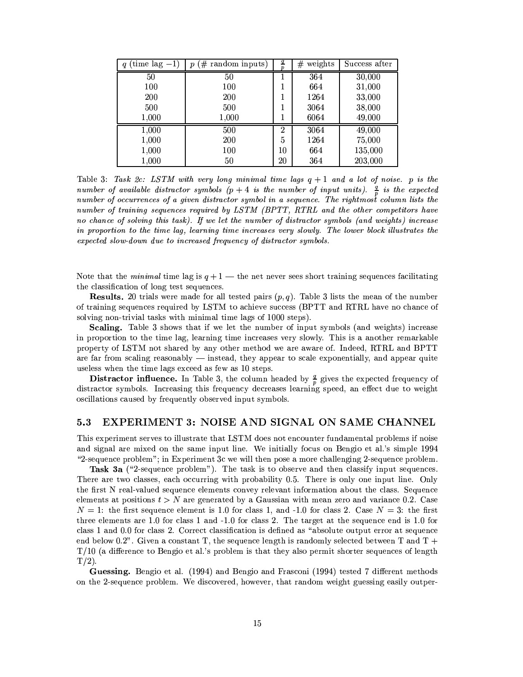| $(\text{time lag} - 1)$<br>q | $#$ random inputs)<br>$\boldsymbol{p}$ | q<br>Ď         | weights<br># | Success after |
|------------------------------|----------------------------------------|----------------|--------------|---------------|
| 50                           | 50                                     | 1              | 364          | 30,000        |
| 100                          | 100                                    | 1              | 664          | 31,000        |
| 200                          | 200                                    | 1              | 1264         | 33,000        |
| 500                          | 500                                    | 1              | 3064         | 38,000        |
| 1,000                        | 1,000                                  | 1              | 6064         | 49,000        |
| 1,000                        | 500                                    | $\overline{2}$ | 3064         | 49,000        |
| 1,000                        | 200                                    | 5              | 1264         | 75,000        |
| 1,000                        | 100                                    | 10             | 664          | 135,000       |
| 1,000                        | 50                                     | 20             | 364          | 203,000       |

Table 3: Task 2c: LSTM with very long minimal time lags  $q + 1$  and a lot of noise. p is the number of available distractor symbols  $(p+4)$  is the number of input units).  $\frac{q}{p}$  is the expected number of occurrences of a given distractor symbol in a sequence. The rightmost column lists the number of training sequences required by LSTM (BPTT, RTRL and the other competitors have no chance of solving this task). If we let the number of distractor symbols (and weights) increase in proportion to the time lag, learning time increases very slowly. The lower block illustrates the expected slow-down due to increased frequency of distractor symbols.

Note that the *minimal* time lag is  $q + 1$  — the net never sees short training sequences facilitating the classification of long test sequences.

**Results.** 20 trials were made for all tested pairs  $(p, q)$ . Table 3 lists the mean of the number of training sequences required by LSTM to achieve success (BPTT and RTRL have no chance of solving non-trivial tasks with minimal time lags of 1000 steps).

**Scaling.** Table 3 shows that if we let the number of input symbols (and weights) increase in proportion to the time lag, learning time increases very slowly. This is a another remarkable property of LSTM not shared by any other method we are aware of. Indeed, RTRL and BPTT are far from scaling reasonably — instead, they appear to scale exponentially, and appear quite useless when the time lags exceed as few as 10 steps.

**Distractor influence.** In Table 3, the column headed by  $\frac{q}{p}$  gives the expected frequency of distractor symbols. Increasing this frequency decreases learning speed, an effect due to weight oscillations caused by frequently observed input symbols.

#### EXPERIMENT 3: NOISE AND SIGNAL ON SAME CHANNEL 5.3

This experiment serves to illustrate that LSTM does not encounter fundamental problems if noise and signal are mixed on the same input line. We initially focus on Bengio et al.'s simple 1994 "2-sequence problem"; in Experiment 3c we will then pose a more challenging 2-sequence problem.

Task 3a ("2-sequence problem"). The task is to observe and then classify input sequences. There are two classes, each occurring with probability 0.5. There is only one input line. Only the first N real-valued sequence elements convey relevant information about the class. Sequence elements at positions  $t > N$  are generated by a Gaussian with mean zero and variance 0.2. Case  $N = 1$ : the first sequence element is 1.0 for class 1, and -1.0 for class 2. Case  $N = 3$ : the first three elements are 1.0 for class 1 and -1.0 for class 2. The target at the sequence end is 1.0 for class 1 and 0.0 for class 2. Correct classification is defined as "absolute output error at sequence end below 0.2". Given a constant T, the sequence length is randomly selected between T and  $T +$  $T/10$  (a difference to Bengio et al.'s problem is that they also permit shorter sequences of length  $T/2$ ).

Guessing. Bengio et al. (1994) and Bengio and Frasconi (1994) tested 7 different methods on the 2-sequence problem. We discovered, however, that random weight guessing easily outper-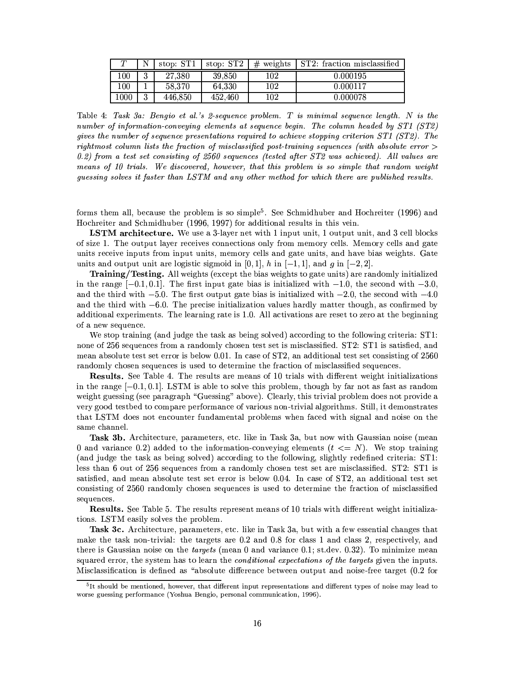| $\tau$ |   | stop: ST1 | stop: $ST2$ | $#$ weights | ST2: fraction misclassified |
|--------|---|-----------|-------------|-------------|-----------------------------|
| 100    | 2 | 27.380    | 39,850      | 102         | 0.000195                    |
| 100    |   | 58.370    | 64.330      | 102         | 0.000117                    |
| 1000   | 2 | 446,850   | 452,460     | 102         | 0.000078                    |

Table 4: Task 3a: Bengio et al.'s 2-sequence problem. T is minimal sequence length. N is the number of information-conveying elements at sequence begin. The column headed by ST1 (ST2) gives the number of sequence presentations required to achieve stopping criterion ST1 (ST2). The rightmost column lists the fraction of misclassified post-training sequences (with absolute error  $>$ 0.2) from a test set consisting of 2560 sequences (tested after  $ST2$  was achieved). All values are means of 10 trials. We discovered, however, that this problem is so simple that random weight guessing solves it faster than LSTM and any other method for which there are published results.

forms them all, because the problem is so simple<sup>5</sup>. See Schmidhuber and Hochreiter (1996) and Hochreiter and Schmidhuber (1996, 1997) for additional results in this vein.

**LSTM** architecture. We use a 3-layer net with 1 input unit, 1 output unit, and 3 cell blocks of size 1. The output layer receives connections only from memory cells. Memory cells and gate units receive inputs from input units, memory cells and gate units, and have bias weights. Gate units and output unit are logistic sigmoid in [0, 1], h in  $[-1, 1]$ , and g in  $[-2, 2]$ .

**Training/Testing.** All weights (except the bias weights to gate units) are randomly initialized in the range  $[-0.1, 0.1]$ . The first input gate bias is initialized with  $-1.0$ , the second with  $-3.0$ , and the third with  $-5.0$ . The first output gate bias is initialized with  $-2.0$ , the second with  $-4.0$ and the third with  $-6.0$ . The precise initialization values hardly matter though, as confirmed by additional experiments. The learning rate is 1.0. All activations are reset to zero at the beginning of a new sequence.

We stop training (and judge the task as being solved) according to the following criteria: ST1: none of 256 sequences from a randomly chosen test set is misclassified. ST2: ST1 is satisfied, and mean absolute test set error is below 0.01. In case of ST2, an additional test set consisting of 2560 randomly chosen sequences is used to determine the fraction of misclassified sequences.

Results. See Table 4. The results are means of 10 trials with different weight initializations in the range  $[-0.1, 0.1]$ . LSTM is able to solve this problem, though by far not as fast as random weight guessing (see paragraph "Guessing" above). Clearly, this trivial problem does not provide a very good testbed to compare performance of various non-trivial algorithms. Still, it demonstrates that LSTM does not encounter fundamental problems when faced with signal and noise on the same channel.

Task 3b. Architecture, parameters, etc. like in Task 3a, but now with Gaussian noise (mean 0 and variance 0.2) added to the information-conveying elements  $(t \leq N)$ . We stop training (and judge the task as being solved) according to the following, slightly redefined criteria: ST1: less than 6 out of 256 sequences from a randomly chosen test set are misclassified. ST2: ST1 is satisfied, and mean absolute test set error is below 0.04. In case of ST2, an additional test set consisting of 2560 randomly chosen sequences is used to determine the fraction of misclassified sequences.

**Results.** See Table 5. The results represent means of 10 trials with different weight initializations. LSTM easily solves the problem.

**Task 3c.** Architecture, parameters, etc. like in Task 3a, but with a few essential changes that make the task non-trivial: the targets are 0.2 and 0.8 for class 1 and class 2, respectively, and there is Gaussian noise on the *targets* (mean  $0$  and variance  $0.1$ ; st.dev.  $0.32$ ). To minimize mean squared error, the system has to learn the *conditional expectations of the targets* given the inputs. Misclassification is defined as "absolute difference between output and noise-free target (0.2 for

 $5$ It should be mentioned, however, that different input representations and different types of noise may lead to worse guessing performance (Yoshua Bengio, personal communication, 1996).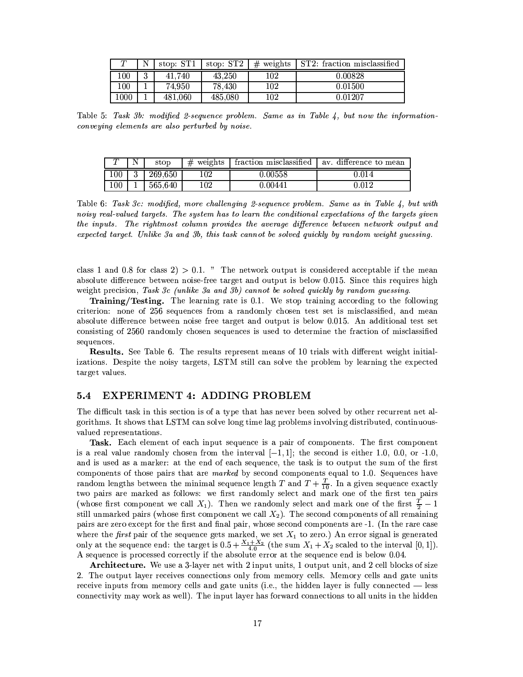| ௱    |   | stop: ST1 | stop: $ST2$ | $#$ weights | ST2: fraction misclassified |
|------|---|-----------|-------------|-------------|-----------------------------|
| 100  | ച | 41.740    | 43,250      | 102         | 0.00828                     |
| 100  |   | 74.950    | 78,430      | 102         | 0.01500                     |
| 1000 |   | 481,060   | 485.080     | 102         | 0.01207                     |

Table 5: Task 3b: modified 2-sequence problem. Same as in Table 4, but now the informationconveying elements are also perturbed by noise.

|         | stop    | $#$ weights | fraction misclassified | av. difference to mean |
|---------|---------|-------------|------------------------|------------------------|
| $100\,$ | 269,650 | 102         | 0.00558                | 0.014                  |
| $100\,$ | 565,640 | 102         | 0.00441                | $\rm 0.012$            |

Table 6: Task 3c: modified, more challenging 2-sequence problem. Same as in Table 4, but with noisy real-valued targets. The system has to learn the conditional expectations of the targets given the inputs. The rightmost column provides the average difference between network output and expected target. Unlike 3a and 3b, this task cannot be solved quickly by random weight quessing.

class 1 and 0.8 for class  $2$ ) > 0.1. " The network output is considered acceptable if the mean absolute difference between noise-free target and output is below 0.015. Since this requires high weight precision, Task 3c (unlike 3a and 3b) cannot be solved quickly by random quessing.

Training/Testing. The learning rate is 0.1. We stop training according to the following criterion: none of 256 sequences from a randomly chosen test set is misclassified, and mean absolute difference between noise free target and output is below 0.015. An additional test set consisting of 2560 randomly chosen sequences is used to determine the fraction of misclassified sequences.

Results. See Table 6. The results represent means of 10 trials with different weight initializations. Despite the noisy targets, LSTM still can solve the problem by learning the expected target values.

#### **EXPERIMENT 4: ADDING PROBLEM**  $5.4$

The difficult task in this section is of a type that has never been solved by other recurrent net algorithms. It shows that LSTM can solve long time lag problems involving distributed, continuousvalued representations.

Task. Each element of each input sequence is a pair of components. The first component is a real value randomly chosen from the interval  $[-1,1]$ ; the second is either 1.0, 0.0, or -1.0, and is used as a marker: at the end of each sequence, the task is to output the sum of the first components of those pairs that are *marked* by second components equal to 1.0. Sequences have random lengths between the minimal sequence length T and  $T + \frac{T}{10}$ . In a given sequence exactly two pairs are marked as follows: we first randomly select and mark one of the first ten pairs (whose first component we call  $X_1$ ). Then we randomly select and mark one of the first  $\frac{T}{2} - 1$ still unmarked pairs (whose first component we call  $X_2$ ). The second components of all remaining pairs are zero except for the first and final pair, whose second components are -1. (In the rare case where the *first* pair of the sequence gets marked, we set  $X_1$  to zero.) An error signal is generated<br>only at the sequence end: the target is  $0.5 + \frac{X_1 + X_2}{4.0}$  (the sum  $X_1 + X_2$  scaled to the interval [0, 1]). A sequence is processed correctly if the absolute error at the sequence end is below 0.04.

**Architecture.** We use a 3-layer net with 2 input units, 1 output unit, and 2 cell blocks of size 2. The output layer receives connections only from memory cells. Memory cells and gate units receive inputs from memory cells and gate units (i.e., the hidden layer is fully connected — less connectivity may work as well). The input layer has forward connections to all units in the hidden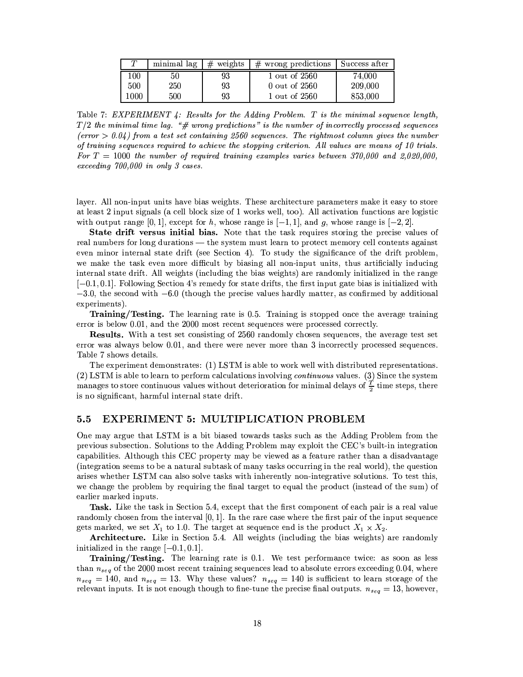| $\tau$ | minimal lag | $#$ weights | $#$ wrong predictions $ $ Success after |         |
|--------|-------------|-------------|-----------------------------------------|---------|
| 100    | 50          | 93          | 1 out of 2560                           | 74.000  |
| 500    | 250         | 93          | 0 out of 2560                           | 209,000 |
| 1000   | 500         | 93          | 1 out of 2560                           | 853,000 |

Table 7:  $EXPERIMENT 4: Results for the Adding Problem. T is the minimal sequence length,$  $T/2$  the minimal time lag. "# wrong predictions" is the number of incorrectly processed sequences (error  $> 0.04$ ) from a test set containing 2560 sequences. The rightmost column gives the number of training sequences required to achieve the stopping criterion. All values are means of 10 trials. For  $T = 1000$  the number of required training examples varies between 370,000 and 2,020,000, exceeding  $700,000$  in only 3 cases.

layer. All non-input units have bias weights. These architecture parameters make it easy to store at least 2 input signals (a cell block size of 1 works well, too). All activation functions are logistic with output range [0, 1], except for h, whose range is  $[-1, 1]$ , and g, whose range is  $[-2, 2]$ .

State drift versus initial bias. Note that the task requires storing the precise values of real numbers for long durations — the system must learn to protect memory cell contents against even minor internal state drift (see Section 4). To study the significance of the drift problem, we make the task even more difficult by biasing all non-input units, thus artificially inducing internal state drift. All weights (including the bias weights) are randomly initialized in the range  $[-0.1, 0.1]$ . Following Section 4's remedy for state drifts, the first input gate bias is initialized with  $-3.0$ , the second with  $-6.0$  (though the precise values hardly matter, as confirmed by additional experiments).

Training/Testing. The learning rate is 0.5. Training is stopped once the average training error is below 0.01, and the 2000 most recent sequences were processed correctly.

**Results.** With a test set consisting of 2560 randomly chosen sequences, the average test set error was always below 0.01, and there were never more than 3 incorrectly processed sequences. Table 7 shows details.

The experiment demonstrates: (1) LSTM is able to work well with distributed representations. (2) LSTM is able to learn to perform calculations involving *continuous* values. (3) Since the system manages to store continuous values without deterioration for minimal delays of  $\frac{T}{2}$  time steps, there is no significant, harmful internal state drift.

#### $5.5$ **EXPERIMENT 5: MULTIPLICATION PROBLEM**

One may argue that LSTM is a bit biased towards tasks such as the Adding Problem from the previous subsection. Solutions to the Adding Problem may exploit the CEC's built-in integration capabilities. Although this CEC property may be viewed as a feature rather than a disadvantage (integration seems to be a natural subtask of many tasks occurring in the real world), the question arises whether LSTM can also solve tasks with inherently non-integrative solutions. To test this. we change the problem by requiring the final target to equal the product (instead of the sum) of earlier marked inputs.

**Task.** Like the task in Section 5.4, except that the first component of each pair is a real value randomly chosen from the interval  $[0,1]$ . In the rare case where the first pair of the input sequence gets marked, we set  $X_1$  to 1.0. The target at sequence end is the product  $X_1 \times X_2$ .

Architecture. Like in Section 5.4. All weights (including the bias weights) are randomly initialized in the range  $[-0.1, 0.1]$ .

Training/Testing. The learning rate is 0.1. We test performance twice: as soon as less than  $n_{seq}$  of the 2000 most recent training sequences lead to absolute errors exceeding 0.04, where  $n_{seq}$  = 140, and  $n_{seq}$  = 13. Why these values?  $n_{seq}$  = 140 is sufficient to learn storage of the relevant inputs. It is not enough though to fine-tune the precise final outputs.  $n_{seq} = 13$ , however,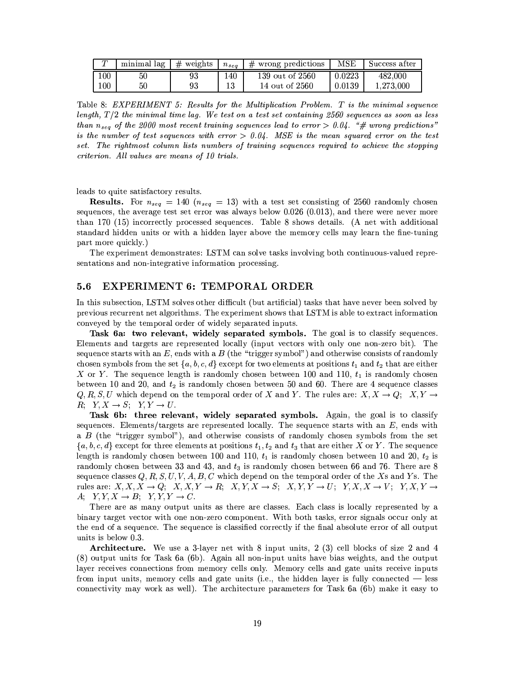| $\tau$  | minimal lag | $#$ weights | $n_{sea}$ | wrong predictions<br># | $_{\rm MSE}$ | Success atter |
|---------|-------------|-------------|-----------|------------------------|--------------|---------------|
| 100     | 50          | 93          | .40       | 139 out of 2560        | 0.0223       | 482,000       |
| $100\,$ | 50          | 93          |           | 14 out of 2560         | 0.0139       | 1,273,000     |

Table 8: EXPERIMENT 5: Results for the Multiplication Problem. T is the minimal sequence length,  $T/2$  the minimal time lag. We test on a test set containing 2560 sequences as soon as less than  $n_{seq}$  of the 2000 most recent training sequences lead to error  $> 0.04$ . "# wrong predictions" is the number of test sequences with error  $> 0.04$ . MSE is the mean squared error on the test set. The rightmost column lists numbers of training sequences required to achieve the stopping criterion. All values are means of 10 trials.

leads to quite satisfactory results.

**Results.** For  $n_{seq} = 140$  ( $n_{seq} = 13$ ) with a test set consisting of 2560 randomly chosen sequences, the average test set error was always below 0.026 (0.013), and there were never more than 170 (15) incorrectly processed sequences. Table 8 shows details. (A net with additional standard hidden units or with a hidden layer above the memory cells may learn the fine-tuning part more quickly.)

The experiment demonstrates: LSTM can solve tasks involving both continuous-valued representations and non-integrative information processing.

#### EXPERIMENT 6: TEMPORAL ORDER  $5.6$

In this subsection, LSTM solves other difficult (but artificial) tasks that have never been solved by previous recurrent net algorithms. The experiment shows that LSTM is able to extract information conveyed by the temporal order of widely separated inputs.

Task 6a: two relevant, widely separated symbols. The goal is to classify sequences. Elements and targets are represented locally (input vectors with only one non-zero bit). The sequence starts with an E, ends with a B (the "trigger symbol") and otherwise consists of randomly chosen symbols from the set  $\{a, b, c, d\}$  except for two elements at positions  $t_1$  and  $t_2$  that are either X or Y. The sequence length is randomly chosen between 100 and 110,  $t_1$  is randomly chosen between 10 and 20, and  $t_2$  is randomly chosen between 50 and 60. There are 4 sequence classes  $Q, R, S, U$  which depend on the temporal order of X and Y. The rules are:  $X, X \to Q$ ;  $X, Y \to$  $R; Y, X \rightarrow S; Y, Y \rightarrow U.$ 

Task 6b: three relevant, widely separated symbols. Again, the goal is to classify sequences. Elements/targets are represented locally. The sequence starts with an  $E$ , ends with a  $B$  (the "trigger symbol"), and otherwise consists of randomly chosen symbols from the set  $\{a, b, c, d\}$  except for three elements at positions  $t_1, t_2$  and  $t_3$  that are either X or Y. The sequence length is randomly chosen between 100 and 110,  $t_1$  is randomly chosen between 10 and 20,  $t_2$  is randomly chosen between 33 and 43, and  $t_3$  is randomly chosen between 66 and 76. There are 8 sequence classes  $Q, R, S, U, V, A, B, C$  which depend on the temporal order of the Xs and Ys. The rules are:  $X, X, X \to Q$ ;  $X, X, Y \to R$ ;  $X, Y, X \to S$ ;  $X, Y, Y \to U$ ;  $Y, X, X \to V$ ;  $Y, X, Y \to Y$  $A; Y,Y,X \rightarrow B; Y,Y,Y \rightarrow C.$ 

There are as many output units as there are classes. Each class is locally represented by a binary target vector with one non-zero component. With both tasks, error signals occur only at the end of a sequence. The sequence is classified correctly if the final absolute error of all output units is below 0.3.

**Architecture.** We use a 3-layer net with 8 input units, 2 (3) cell blocks of size 2 and 4 (8) output units for Task 6a (6b). Again all non-input units have bias weights, and the output layer receives connections from memory cells only. Memory cells and gate units receive inputs from input units, memory cells and gate units (i.e., the hidden layer is fully connected — less connectivity may work as well). The architecture parameters for Task 6a (6b) make it easy to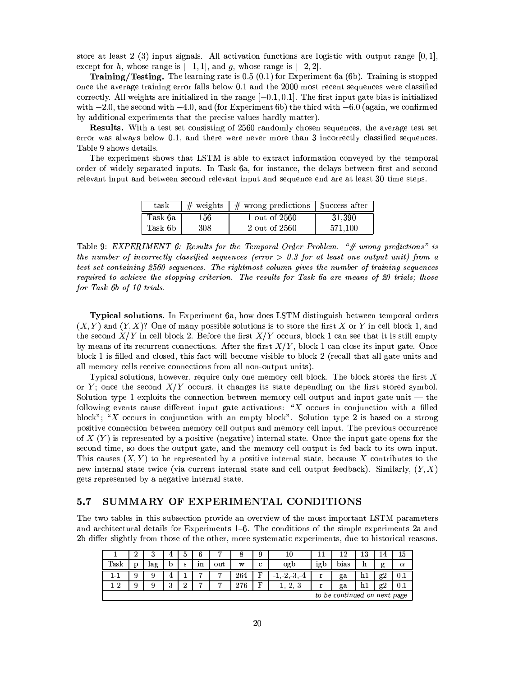store at least 2 (3) input signals. All activation functions are logistic with output range  $[0,1]$ , except for h, whose range is  $[-1,1]$ , and g, whose range is  $[-2,2]$ .

**Training/Testing.** The learning rate is 0.5 (0.1) for Experiment 6a (6b). Training is stopped once the average training error falls below 0.1 and the 2000 most recent sequences were classified correctly. All weights are initialized in the range  $[-0.1, 0.1]$ . The first input gate bias is initialized with  $-2.0$ , the second with  $-4.0$ , and (for Experiment 6b) the third with  $-6.0$  (again, we confirmed by additional experiments that the precise values hardly matter).

**Results.** With a test set consisting of 2560 randomly chosen sequences, the average test set error was always below  $0.1$ , and there were never more than 3 incorrectly classified sequences. Table 9 shows details.

The experiment shows that LSTM is able to extract information conveyed by the temporal order of widely separated inputs. In Task 6a, for instance, the delays between first and second relevant input and between second relevant input and sequence end are at least 30 time steps.

| task    | $\#$ weights | $\pm$ wrong predictions $\pm$ Success after |         |
|---------|--------------|---------------------------------------------|---------|
| Task 6a | 156          | 1 out of 2560                               | 31.390  |
| Task 6b | 308          | 2 out of 2560                               | 571.100 |

Table 9: EXPERIMENT 6: Results for the Temporal Order Problem. "# wrong predictions" is the number of incorrectly classified sequences (error  $> 0.3$  for at least one output unit) from a test set containing 2560 sequences. The rightmost column gives the number of training sequences required to achieve the stopping criterion. The results for Task 6a are means of 20 trials; those for Task 6b of 10 trials.

**Typical solutions.** In Experiment 6a, how does LSTM distinguish between temporal orders  $(X, Y)$  and  $(Y, X)$ ? One of many possible solutions is to store the first X or Y in cell block 1, and the second  $X/Y$  in cell block 2. Before the first  $X/Y$  occurs, block 1 can see that it is still empty by means of its recurrent connections. After the first  $X/Y$ , block 1 can close its input gate. Once block 1 is filled and closed, this fact will become visible to block 2 (recall that all gate units and all memory cells receive connections from all non-output units).

Typical solutions, however, require only one memory cell block. The block stores the first  $X$ or Y; once the second  $X/Y$  occurs, it changes its state depending on the first stored symbol. Solution type 1 exploits the connection between memory cell output and input gate unit  $-$  the following events cause different input gate activations: " $X$  occurs in conjunction with a filled block"; "X occurs in conjunction with an empty block". Solution type 2 is based on a strong positive connection between memory cell output and memory cell input. The previous occurrence of X  $(Y)$  is represented by a positive (negative) internal state. Once the input gate opens for the second time, so does the output gate, and the memory cell output is fed back to its own input. This causes  $(X, Y)$  to be represented by a positive internal state, because X contributes to the new internal state twice (via current internal state and cell output feedback). Similarly,  $(Y, X)$ gets represented by a negative internal state.

#### $5.7$ SUMMARY OF EXPERIMENTAL CONDITIONS

The two tables in this subsection provide an overview of the most important LSTM parameters and architectural details for Experiments 1–6. The conditions of the simple experiments 2a and 2b differ slightly from those of the other, more systematic experiments, due to historical reasons.

|         | ച<br>▵                       | τJ  |          | b | 6  |     | o   | 9 | 10                 |     | 12          | 13 | 4  | 15       |
|---------|------------------------------|-----|----------|---|----|-----|-----|---|--------------------|-----|-------------|----|----|----------|
| Task    | p                            | lag | b        | S | ın | out | w   | c | ogb                | igb | bias        | h  | g  | $\alpha$ |
| 1-1     | 9                            | 9   | 4        |   | −  | ⇁   | 264 | F | $-2, -3, -4$<br>д, | T.  | $_{\rm ga}$ | hĪ | g2 | 0.1      |
| $1 - 2$ | 9                            | 9   | $\Omega$ | ച | −  | −   | 276 | F | , 2, 3<br>$-1$ .   |     | ga          | h1 | g2 | 0.1      |
|         | to be continued on next page |     |          |   |    |     |     |   |                    |     |             |    |    |          |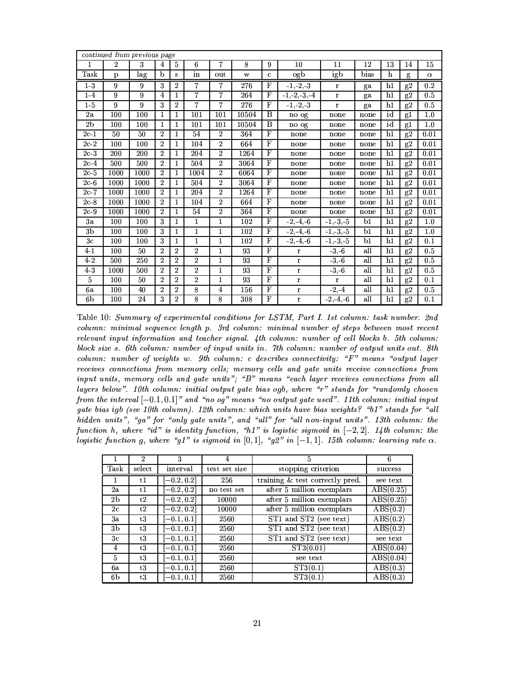|                 |                | continued from previous page |                |                |                |                |       |              |                  |              |      |    |               |          |
|-----------------|----------------|------------------------------|----------------|----------------|----------------|----------------|-------|--------------|------------------|--------------|------|----|---------------|----------|
| 1               | $\overline{2}$ | 3                            | $\overline{4}$ | 5              | 6              | $\overline{7}$ | 8     | 9            | 10               | 11           | 12   | 13 | 14            | 15       |
| Task            | p              | lag                          | b              | S              | in             | out            | W     | $\mathbf c$  | ogb              | igb          | bias | h  | g             | $\alpha$ |
| $1-3$           | 9              | 9                            | 3              | $\overline{2}$ | $\overline{7}$ | $\overline{7}$ | 276   | $\mathbf{F}$ | $-1, -2, -3$     | $\mathbf r$  | ga   | h1 | g2            | 0.2      |
| $1-4$           | 9              | 9                            | 4              | 1              | $\overline{7}$ | $\overline{7}$ | 264   | F            | $-1, -2, -3, -4$ | $\bf r$      | ga   | h1 | g2            | 0.5      |
| $1-5$           | 9              | 9                            | 3              | $\overline{2}$ | $\overline{7}$ | $\overline{7}$ | 276   | $\mathbf{F}$ | $-1, 2, 3$       | $\mathbf r$  | ga   | h1 | g2            | 0.5      |
| 2a              | 100            | 100                          | $\mathbf{1}$   | $\mathbf{1}$   | 101            | 101            | 10504 | $\bf{B}$     | no og            | none         | none | id | $_{\rm g1}$   | 1.0      |
| 2 <sub>b</sub>  | 100            | 100                          | $\mathbf{1}$   | $\mathbf{1}$   | 101            | 101            | 10504 | B            | no og            | none         | none | id | $_{\rm g1}$   | 1.0      |
| 2c <sub>1</sub> | 50             | 50                           | $\overline{2}$ | 1              | 54             | $\overline{2}$ | 364   | F            | none             | none         | none | h1 | g2            | 0.01     |
| 2c2             | 100            | 100                          | $\overline{2}$ | 1              | 104            | $\overline{2}$ | 664   | $\mathbf{F}$ | none             | none         | none | h1 | g2            | 0.01     |
| 2c <sub>3</sub> | 200            | 200                          | $\overline{2}$ | 1              | 204            | $\overline{2}$ | 1264  | $\mathbf F$  | none             | none         | none | h1 | $_{\rm g2}$   | 0.01     |
| $2c-4$          | 500            | 500                          | $\overline{2}$ | 1              | 504            | $\overline{2}$ | 3064  | F            | none             | none         | none | h1 | $_{\rm g2}$   | 0.01     |
| $2c-5$          | 1000           | 1000                         | $\overline{2}$ | 1              | 1004           | $\overline{2}$ | 6064  | $\mathbf F$  | none             | none         | none | h1 | g2            | 0.01     |
| 2c <sub>6</sub> | 1000           | 1000                         | $\overline{2}$ | $\mathbf{1}$   | 504            | $\overline{2}$ | 3064  | $\mathbf F$  | none             | none         | none | h1 | g2            | 0.01     |
| 2c.7            | 1000           | 1000                         | $\overline{2}$ | 1              | 204            | $\overline{2}$ | 1264  | $\mathbf{F}$ | none             | none         | none | h1 | g2            | 0.01     |
| $2c-8$          | 1000           | 1000                         | $\overline{2}$ | $\mathbf{1}$   | 104            | $\overline{2}$ | 664   | $\mathbf F$  | none             | none         | none | h1 | g2            | 0.01     |
| 2c.9            | 1000           | 1000                         | $\overline{2}$ | 1              | 54             | $\overline{2}$ | 364   | $\mathbf{F}$ | none             | none         | none | h1 | g2            | 0.01     |
| 3a              | 100            | 100                          | 3              | 1              | 1              | $\mathbf{1}$   | 102   | $\mathbf{F}$ | 2, 4, 6          | $-1, -3, -5$ | b1   | h1 | g2            | 1.0      |
| 3 <sub>b</sub>  | 100            | 100                          | 3              | $\mathbf{1}$   | $\mathbf{1}$   | $\mathbf{1}$   | 102   | $\mathbf F$  | 2, 4, 6          | $-1, -3, -5$ | b1   | h1 | g2            | 1.0      |
| 3 <sub>c</sub>  | 100            | 100                          | 3              | $\mathbf{1}$   | $\mathbf{1}$   | $\mathbf{1}$   | 102   | $\mathbf F$  | $-2, -4, -6$     | $-1, -3, -5$ | b1   | h1 | g2            | 0.1      |
| $4 - 1$         | 100            | 50                           | $\overline{2}$ | $\overline{2}$ | $\overline{2}$ | $\mathbf{1}$   | 93    | $\mathbf{F}$ | $\bf r$          | $-3,-6$      | all  | h1 | g2            | 0.5      |
| 4.2             | 500            | 250                          | $\overline{2}$ | $\overline{2}$ | $\overline{2}$ | 1              | 93    | $\mathbf{F}$ | $\mathbf r$      | 3, 6         | all  | h1 | $\mathbf{g2}$ | 0.5      |
| $4-3$           | 1000           | 500                          | $\overline{2}$ | $\overline{2}$ | $\overline{2}$ | $\mathbf{1}$   | 93    | $\mathbf F$  | $\mathbf r$      | $-3, 6$      | all  | h1 | g2            | 0.5      |
| 5               | 100            | 50                           | $\overline{2}$ | $\overline{2}$ | $\overline{2}$ | 1              | 93    | F            | $\mathbf r$      | $\mathbf r$  | all  | h1 | g2            | 0.1      |
| 6a              | 100            | 40                           | $\overline{2}$ | $\overline{2}$ | 8              | 4              | 156   | $\mathbf F$  | $\mathbf r$      | $-2, -4$     | all  | h1 | g2            | 0.5      |
| 6b              | 100            | 24                           | 3              | $\overline{2}$ | 8              | 8              | 308   | $\mathbf F$  | $\mathbf r$      | $-2, -4, -6$ | all  | h1 | g2            | 0.1      |

Table 10: Summary of experimental conditions for LSTM, Part I. 1st column: task number. 2nd column: minimal sequence length p. 3rd column: minimal number of steps between most recent relevant input information and teacher signal. 4th column: number of cell blocks b. 5th column: block size s. 6th column: number of input units in. 7th column: number of output units out. 8th  $column: number of weights w. 9th column: c describes connectivity: "F" means "output layer"$ receives connections from memory cells; memory cells and gate units receive connections from input units, memory cells and gate units"; "B" means "each layer receives connections from all layers below". 10th column: initial output gate bias ogb, where "r" stands for "randomly chosen from the interval  $[-0.1, 0.1]$ " and "no og" means "no output gate used". 11th column: initial input gate bias igb (see 10th column). 12th column: which units have bias weights? "b1" stands for "all hidden units", "ga" for "only gate units", and "all" for "all non-input units". 13th column: the function h, where "id" is identity function, "h1" is logistic sigmoid in  $[-2,2]$ . 14th column: the logistic function g, where "g1" is sigmoid in [0,1], "g2" in  $[-1, 1]$ . 15th column: learning rate  $\alpha$ .

|                | $\mathfrak{D}$ | 3             | 4             | 5                               | 6                             |
|----------------|----------------|---------------|---------------|---------------------------------|-------------------------------|
| Task           | select         | interval      | test set size | stopping criterion              | success                       |
| 1.             | t1             | $-0.2, 0.2]$  | 256           | training & test correctly pred. | see text                      |
| 2a             | t1             | $[-0.2, 0.2]$ | no test set   | after 5 million exemplars       | ABS(0.25)                     |
| 2 <sub>b</sub> | t2             | $[-0.2, 0.2]$ | 10000         | after 5 million exemplars       | $\overline{\text{ABS}(0.25)}$ |
| 2c             | t2             | $[-0.2, 0.2]$ | 10000         | after 5 million exemplars       | $\overline{\text{ABS}(0.2)}$  |
| 3a             | t3             | $[-0.1, 0.1]$ | 2560          | ST1 and ST2 (see text)          | $\overline{\text{ABS}(0.2)}$  |
| 3b             | t3             | $[-0.1,0.1]$  | 2560          | ST1 and ST2 (see text)          | $\text{ABS}(0.2)$             |
| 3 <sub>c</sub> | t3             | $[-0.1, 0.1]$ | 2560          | ST1 and ST2 (see text)          | see text                      |
| 4              | t3             | $[-0.1, 0.1]$ | 2560          | ST3(0.01)                       | ABS(0.04)                     |
| 5              | t3             | $[-0.1, 0.1]$ | 2560          | see text                        | $\overline{\text{ABS}(0.04)}$ |
| 6а             | t3             | $[-0.1, 0.1]$ | 2560          | ST3(0.1)                        | $\text{ABS}(0.3)$             |
| 6b             | t3             | $[-0.1, 0.1]$ | 2560          | ST3(0.1)                        | $\text{ABS}(0.3)$             |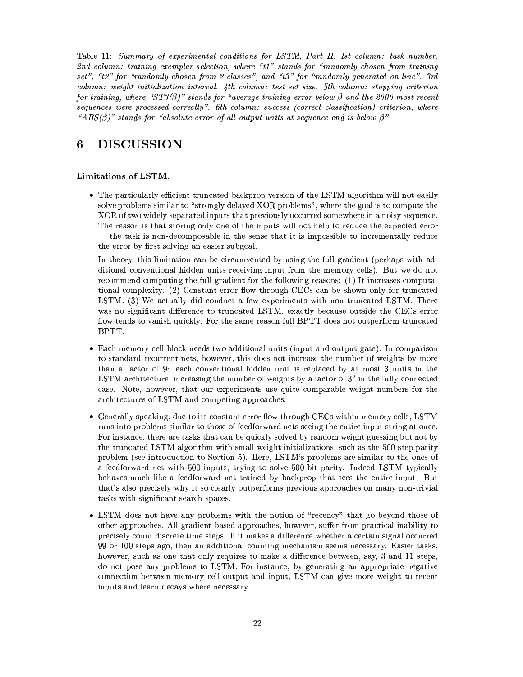Table 11: Summary of experimental conditions for LSTM, Part II. 1st column: task number. 2nd column: training exemplar selection, where "t1" stands for "randomly chosen from training set", "t2" for "randomly chosen from 2 classes", and "t3" for "randomly generated on-line". 3rd column: weight initialization interval. 4th column: test set size. 5th column: stopping criterion for training, where " $ST3(\beta)$ " stands for "average training error below  $\beta$  and the 2000 most recent sequences were processed correctly". 6th column: success (correct classification) criterion, where "ABS( $\beta$ )" stands for "absolute error of all output units at sequence end is below  $\beta$ ".

#### **DISCUSSION** 6

## Limitations of LSTM.

• The particularly efficient truncated backprop version of the LSTM algorithm will not easily solve problems similar to "strongly delayed XOR problems", where the goal is to compute the XOR of two widely separated inputs that previously occurred somewhere in a noisy sequence. The reason is that storing only one of the inputs will not help to reduce the expected error — the task is non-decomposable in the sense that it is impossible to incrementally reduce the error by first solving an easier subgoal.

In theory, this limitation can be circumvented by using the full gradient (perhaps with additional conventional hidden units receiving input from the memory cells). But we do not recommend computing the full gradient for the following reasons: (1) It increases computational complexity. (2) Constant error flow through CECs can be shown only for truncated LSTM. (3) We actually did conduct a few experiments with non-truncated LSTM. There was no significant difference to truncated LSTM, exactly because outside the CECs error flow tends to vanish quickly. For the same reason full BPTT does not outperform truncated BPTT.

- Each memory cell block needs two additional units (input and output gate). In comparison to standard recurrent nets, however, this does not increase the number of weights by more than a factor of 9: each conventional hidden unit is replaced by at most 3 units in the LSTM architecture, increasing the number of weights by a factor of  $3<sup>2</sup>$  in the fully connected case. Note, however, that our experiments use quite comparable weight numbers for the architectures of LSTM and competing approaches.
- Generally speaking, due to its constant error flow through CECs within memory cells, LSTM runs into problems similar to those of feedforward nets seeing the entire input string at once. For instance, there are tasks that can be quickly solved by random weight guessing but not by the truncated LSTM algorithm with small weight initializations, such as the 500-step parity problem (see introduction to Section 5). Here, LSTM's problems are similar to the ones of a feedforward net with 500 inputs, trying to solve 500-bit parity. Indeed LSTM typically behaves much like a feedforward net trained by backprop that sees the entire input. But that's also precisely why it so clearly outperforms previous approaches on many non-trivial tasks with significant search spaces.
- LSTM does not have any problems with the notion of "recency" that go beyond those of other approaches. All gradient-based approaches, however, suffer from practical inability to precisely count discrete time steps. If it makes a difference whether a certain signal occurred 99 or 100 steps ago, then an additional counting mechanism seems necessary. Easier tasks, however, such as one that only requires to make a difference between, say, 3 and 11 steps, do not pose any problems to LSTM. For instance, by generating an appropriate negative connection between memory cell output and input, LSTM can give more weight to recent inputs and learn decays where necessary.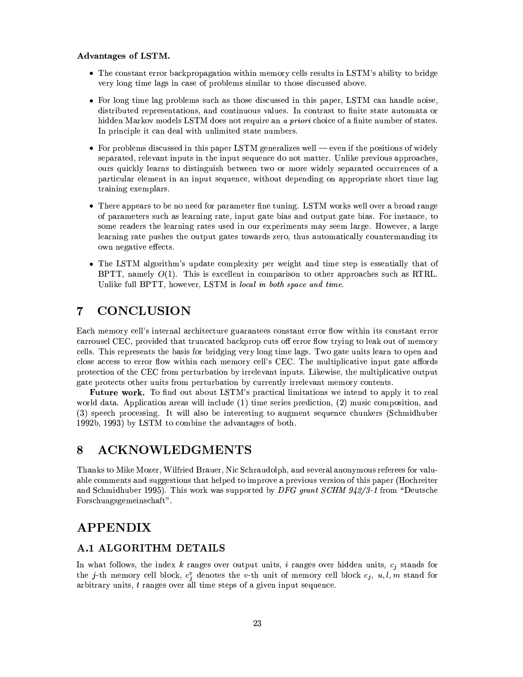## Advantages of LSTM.

- The constant error backpropagation within memory cells results in LSTM's ability to bridge very long time lags in case of problems similar to those discussed above.
- For long time lag problems such as those discussed in this paper, LSTM can handle noise, distributed representations, and continuous values. In contrast to finite state automata or hidden Markov models LSTM does not require an a priori choice of a finite number of states. In principle it can deal with unlimited state numbers.
- For problems discussed in this paper LSTM generalizes well even if the positions of widely separated, relevant inputs in the input sequence do not matter. Unlike previous approaches, ours quickly learns to distinguish between two or more widely separated occurrences of a particular element in an input sequence, without depending on appropriate short time lag training exemplars.
- There appears to be no need for parameter fine tuning. LSTM works well over a broad range of parameters such as learning rate, input gate bias and output gate bias. For instance, to some readers the learning rates used in our experiments may seem large. However, a large learning rate pushes the output gates towards zero, thus automatically countermanding its own negative effects.
- The LSTM algorithm's update complexity per weight and time step is essentially that of BPTT, namely  $O(1)$ . This is excellent in comparison to other approaches such as RTRL. Unlike full BPTT, however, LSTM is local in both space and time.

#### **CONCLUSION** 7

Each memory cell's internal architecture guarantees constant error flow within its constant error carrousel CEC, provided that truncated backprop cuts off error flow trying to leak out of memory cells. This represents the basis for bridging very long time lags. Two gate units learn to open and close access to error flow within each memory cell's CEC. The multiplicative input gate affords protection of the CEC from perturbation by irrelevant inputs. Likewise, the multiplicative output gate protects other units from perturbation by currently irrelevant memory contents.

**Future work.** To find out about LSTM's practical limitations we intend to apply it to real world data. Application areas will include  $(1)$  time series prediction,  $(2)$  music composition, and (3) speech processing. It will also be interesting to augment sequence chunkers (Schmidhuber 1992b, 1993) by LSTM to combine the advantages of both.

#### **ACKNOWLEDGMENTS** 8

Thanks to Mike Mozer, Wilfried Brauer, Nic Schraudolph, and several anonymous referees for valuable comments and suggestions that helped to improve a previous version of this paper (Hochreiter and Schmidhuber 1995). This work was supported by DFG grant SCHM  $942/3$ -1 from "Deutsche Forschungsgemeinschaft".

## **APPENDIX**

## **A.1 ALGORITHM DETAILS**

In what follows, the index  $k$  ranges over output units,  $i$  ranges over hidden units,  $c_j$  stands for the j-th memory cell block,  $c_j^v$  denotes the v-th unit of memory cell block  $c_j$ ,  $u, l, m$  stand for arbitrary units,  $t$  ranges over all time steps of a given input sequence.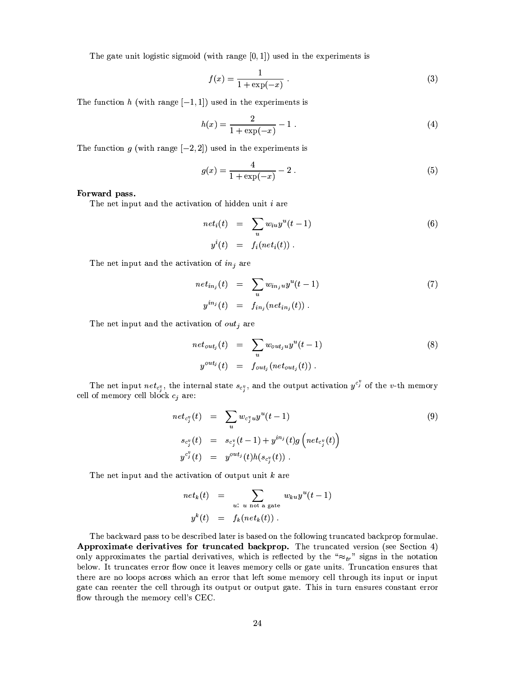The gate unit logistic sigmoid (with range  $[0,1]$ ) used in the experiments is

$$
f(x) = \frac{1}{1 + \exp(-x)} \; . \tag{3}
$$

The function h (with range  $[-1,1]$ ) used in the experiments is

$$
h(x) = \frac{2}{1 + \exp(-x)} - 1.
$$
 (4)

The function g (with range  $[-2,2]$ ) used in the experiments is

$$
g(x) = \frac{4}{1 + \exp(-x)} - 2
$$
 (5)

### Forward pass.

The net input and the activation of hidden unit  $i$  are

$$
net_i(t) = \sum_i w_{iu} y^u(t-1)
$$
  
\n
$$
y^i(t) = f_i(net_i(t)) .
$$
\n(6)

The net input and the activation of  $in<sub>i</sub>$  are

$$
net_{in_j}(t) = \sum_{u} w_{in_j u} y^u(t-1)
$$
  
\n
$$
y^{in_j}(t) = f_{in_j}(net_{in_j}(t)).
$$
\n(7)

The net input and the activation of  $out_j$  are

$$
net_{out_j}(t) = \sum_{u} w_{out_j u} y^u(t-1)
$$
\n
$$
y^{out_j}(t) = f_{out_j}(net_{out_j}(t)).
$$
\n(8)

The net input  $net_{c_i}$ , the internal state  $s_{c_i}$ , and the output activation  $y^{c_i}$  of the v-th memory cell of memory cell block  $c_j$  are:

$$
net_{c_j^v}(t) = \sum_{u} w_{c_j^v u} y^u(t-1)
$$
  
\n
$$
s_{c_j^v}(t) = s_{c_j^v}(t-1) + y^{in_j}(t)g\left(net_{c_j^v}(t)\right)
$$
  
\n
$$
y^{c_j^v}(t) = y^{out_j}(t)h(s_{c_j^v}(t)) .
$$
\n(9)

The net input and the activation of output unit  $k$  are

$$
net_k(t) = \sum_{u: u \text{ not a gate}} w_{ku} y^u(t-1)
$$
  

$$
y^k(t) = f_k(net_k(t)).
$$

The backward pass to be described later is based on the following truncated backprop formulae. Approximate derivatives for truncated backprop. The truncated version (see Section 4) only approximates the partial derivatives, which is reflected by the " $\approx_{tr}$ " signs in the notation below. It truncates error flow once it leaves memory cells or gate units. Truncation ensures that there are no loops across which an error that left some memory cell through its input or input gate can reenter the cell through its output or output gate. This in turn ensures constant error flow through the memory cell's CEC.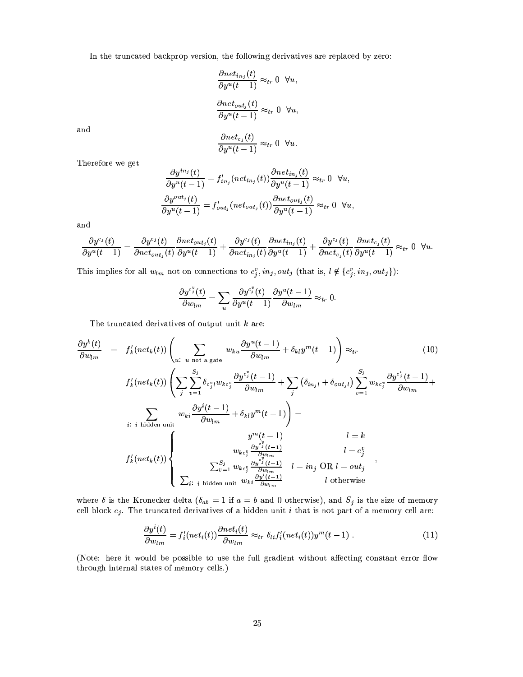In the truncated backprop version, the following derivatives are replaced by zero:

$$
\frac{\partial net_{in_j}(t)}{\partial y^u(t-1)} \approx_{tr} 0 \quad \forall u,
$$
  

$$
\frac{\partial net_{out_j}(t)}{\partial y^u(t-1)} \approx_{tr} 0 \quad \forall u,
$$

and

$$
\frac{\partial net_{c_j}(t)}{\partial y^u(t-1)} \approx_{tr} 0 \quad \forall u.
$$

Therefore we get

$$
\frac{\partial y^{in_j}(t)}{\partial y^u(t-1)} = f'_{in_j}(net_{in_j}(t)) \frac{\partial net_{in_j}(t)}{\partial y^u(t-1)} \approx_{tr} 0 \quad \forall u,
$$

$$
\frac{\partial y^{out_j}(t)}{\partial y^u(t-1)} = f'_{out_j}(net_{out_j}(t)) \frac{\partial net_{out_j}(t)}{\partial y^u(t-1)} \approx_{tr} 0 \quad \forall u,
$$

and

$$
\frac{\partial y^{c_j}(t)}{\partial y^u(t-1)} = \frac{\partial y^{c_j}(t)}{\partial net_{out_j}(t)} \frac{\partial net_{out_j}(t)}{\partial y^u(t-1)} + \frac{\partial y^{c_j}(t)}{\partial net_{in_j}(t)} \frac{\partial net_{in_j}(t)}{\partial y^u(t-1)} + \frac{\partial y^{c_j}(t)}{\partial net_{c_j}(t)} \frac{\partial net_{c_j}(t)}{\partial y^u(t-1)} \approx_{tr} 0 \quad \forall u.
$$

This implies for all  $w_{lm}$  not on connections to  $c_j^v$ ,  $in_j, out_j$  (that is,  $l \notin \{c_j^v, in_j, out_j\}$ ):

$$
\frac{\partial y^{c_j^v}(t)}{\partial w_{lm}} = \sum_u \frac{\partial y^{c_j^v}(t)}{\partial y^u(t-1)} \frac{\partial y^u(t-1)}{\partial w_{lm}} \approx_{tr} 0.
$$

The truncated derivatives of output unit  $k$  are:

$$
\frac{\partial y^{k}(t)}{\partial w_{lm}} = f'_{k}(net_{k}(t)) \left( \sum_{u: u \text{ not a gate}} w_{ku} \frac{\partial y^{u}(t-1)}{\partial w_{lm}} + \delta_{kl} y^{m}(t-1) \right) \approx_{tr} \qquad (10)
$$
\n
$$
f'_{k}(net_{k}(t)) \left( \sum_{j} \sum_{v=1}^{S_{j}} \delta_{c_{j}^{v} l} w_{kc_{j}^{v}} \frac{\partial y^{c_{j}^{v}}(t-1)}{\partial w_{lm}} + \sum_{j} \left( \delta_{in_{j}l} + \delta_{out_{j}l} \right) \sum_{v=1}^{S_{j}} w_{kc_{j}^{v}} \frac{\partial y^{c_{j}^{v}}(t-1)}{\partial w_{lm}} + \sum_{i: i \text{ hidden unit}} w_{ki} \frac{\partial y^{i}(t-1)}{\partial w_{lm}} + \delta_{kl} y^{m}(t-1) \right) =
$$
\n
$$
f'_{k}(net_{k}(t)) \left\{ \sum_{v=1}^{S_{j}} \frac{y^{m}(t-1)}{w_{kc_{j}^{v}} \frac{\partial y^{c_{j}^{v}}(t-1)}{\partial w_{lm}}}{\sum_{v=1}^{S_{j}} w_{kc_{j}^{v}} \frac{\partial y^{c_{j}^{v}}(t-1)}{\partial w_{lm}}}{l} = in_{j} \text{ OR } l = \text{out}_{j} \right\},
$$
\n
$$
\sum_{i: i \text{ hidden unit}} w_{ki} \frac{\partial y^{i}(t-1)}{\partial w_{lm}} = i n_{j} \text{ OR } l = \text{out}_{j}
$$

where  $\delta$  is the Kronecker delta ( $\delta_{ab} = 1$  if  $a = b$  and 0 otherwise), and  $S_j$  is the size of memory cell block  $c_j$ . The truncated derivatives of a hidden unit i that is not part of a memory cell are:

$$
\frac{\partial y^{i}(t)}{\partial w_{lm}} = f'_{i}(net_{i}(t)) \frac{\partial net_{i}(t)}{\partial w_{lm}} \approx_{tr} \delta_{li} f'_{i}(net_{i}(t)) y^{m}(t-1) . \qquad (11)
$$

(Note: here it would be possible to use the full gradient without affecting constant error flow through internal states of memory cells.)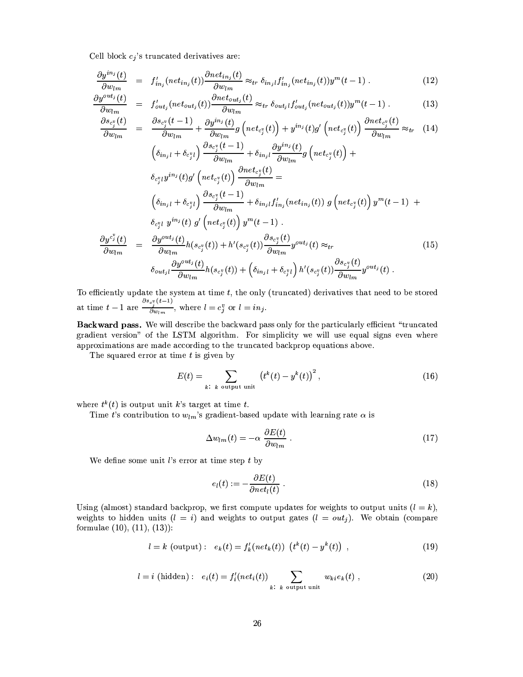Cell block  $c_j$ 's truncated derivatives are:

$$
\frac{\partial y^{in_j}(t)}{\partial w_{lm}} = f'_{in_j}(net_{in_j}(t)) \frac{\partial net_{in_j}(t)}{\partial w_{lm}} \approx_{tr} \delta_{in_j} f'_{in_j}(net_{in_j}(t)) y^m(t-1) . \tag{12}
$$

$$
\frac{\partial y^{out_j}(t)}{\partial w_{lm}} = f'_{out_j}(net_{out_j}(t)) \frac{\partial net_{out_j}(t)}{\partial w_{lm}} \approx_{tr} \delta_{out_j} f'_{out_j}(net_{out_j}(t)) y^m(t-1) . \tag{13}
$$

$$
\frac{\partial s_{c_j^v}(t)}{\partial w_{lm}} = \frac{\partial s_{c_j^v}(t-1)}{\partial w_{lm}} + \frac{\partial y^{in_j}(t)}{\partial w_{lm}} g\left( net_{c_j^v}(t) \right) + y^{in_j}(t)g'\left( net_{c_j^v}(t) \right) \frac{\partial net_{c_j^v}(t)}{\partial w_{lm}} \approx_{tr} (14)
$$
\n
$$
\left( \delta_{in_j l} + \delta_{c_j^v l} \right) \frac{\partial s_{c_j^v}(t-1)}{\partial w_{lm}} + \delta_{in_j l} \frac{\partial y^{in_j}(t)}{\partial w_{lm}} g\left( net_{c_j^v}(t) \right) +
$$
\n
$$
\delta_{c_j^v l} y^{in_j}(t)g'\left( net_{c_j^v}(t) \right) \frac{\partial net_{c_j^v}(t)}{\partial w_{lm}} =
$$
\n
$$
\left( \delta_{in_j l} + \delta_{c_j^v l} \right) \frac{\partial s_{c_j^v}(t-1)}{\partial w_{lm}} + \delta_{in_j l} f'_{in_j}( net_{in_j}(t) \right) g\left( net_{c_j^v}(t) \right) y^m(t-1) +
$$
\n
$$
\delta_{c_j^v l} y^{in_j}(t) g'\left( net_{c_j^v}(t) \right) y^m(t-1).
$$
\n
$$
\frac{\partial y^{c_j^v}(t)}{\partial w_{lm}} = \frac{\partial y^{out_j}(t)}{\partial w_{lm}} h(s_{c_j^v}(t)) + h'(s_{c_j^v}(t)) \frac{\partial s_{c_j^v}(t)}{\partial w_{lm}} y^{out_j}(t) \approx_{tr} (15)
$$
\n
$$
\delta_{out_j l} \frac{\partial y^{out_j}(t)}{\partial w_{lm}} h(s_{c_j^v}(t)) + \left( \delta_{in_j l} + \delta_{c_j^v l} \right) h'(s_{c_j^v}(t)) \frac{\partial s_{c_j^v}(t)}{\partial w_{lm}} y^{out_j}(t).
$$

To efficiently update the system at time  $t$ , the only (truncated) derivatives that need to be stored at time  $t-1$  are  $\frac{\partial s_{c_i}v(t-1)}{\partial w_{lm}}$ , where  $l = c_j^v$  or  $l = in_j$ .

Backward pass. We will describe the backward pass only for the particularly efficient "truncated gradient version" of the LSTM algorithm. For simplicity we will use equal signs even where approximations are made according to the truncated backprop equations above.

The squared error at time  $t$  is given by

$$
E(t) = \sum_{k:\ k \text{ output unit}} \left(t^k(t) - y^k(t)\right)^2,\tag{16}
$$

where  $t^k(t)$  is output unit k's target at time t.

Time t's contribution to  $w_{lm}$ 's gradient-based update with learning rate  $\alpha$  is

$$
\Delta w_{lm}(t) = -\alpha \; \frac{\partial E(t)}{\partial w_{lm}} \; . \tag{17}
$$

We define some unit  $l$ s error at time step  $t$  by

$$
e_l(t) := -\frac{\partial E(t)}{\partial net_l(t)} \ . \tag{18}
$$

Using (almost) standard backprop, we first compute updates for weights to output units  $(l = k)$ , weights to hidden units  $(l = i)$  and weights to output gates  $(l = out<sub>j</sub>)$ . We obtain (compare formulae  $(10), (11), (13)$ :

$$
l = k \text{ (output)}: \ e_k(t) = f'_k(net_k(t)) \ (t^k(t) - y^k(t)) \ , \tag{19}
$$

$$
l = i \text{ (hidden)}: \quad e_i(t) = f'_i(net_i(t)) \sum_{k:\ k \text{ output unit}} w_{ki}e_k(t) \tag{20}
$$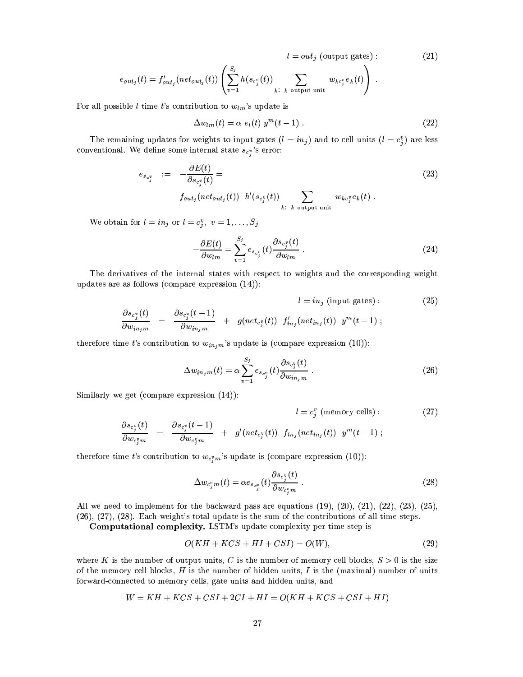$$
l = out_j \text{ (output gates)}: \tag{21}
$$

$$
e_{\textit{out}_j}(t) = f'_{\textit{out}_j}(\textit{net}_{\textit{out}_j}(t)) \left( \sum_{v=1}^{S_j} h(s_{c_j^v}(t)) \sum_{k:\ k \text{ output unit}} w_{kc_j^v} e_k(t) \right).
$$

For all possible *l* time *t*'s contribution to  $w_{lm}$ 's update is

$$
\Delta w_{lm}(t) = \alpha e_l(t) y^m(t-1) . \qquad (22)
$$

The remaining updates for weights to input gates  $(l = in_j)$  and to cell units  $(l = c_j^v)$  are less conventional. We define some internal state  $s_{c_i^*}$ 's error:

$$
e_{s_{c_j^v}} := -\frac{\partial E(t)}{\partial s_{c_j^v}(t)} =
$$
\n
$$
f_{out_j}(net_{out_j}(t)) h'(s_{c_j^v}(t)) \sum_{k:\ k \text{ output unit}} w_{kc_j^v}e_k(t).
$$
\n(23)

We obtain for  $l = in_j$  or  $l = c_j^v$ ,  $v = 1, ..., S_j$ 

$$
-\frac{\partial E(t)}{\partial w_{lm}} = \sum_{v=1}^{S_j} e_{s_{c_j}^v}(t) \frac{\partial s_{c_j^v}(t)}{\partial w_{lm}}.
$$
\n(24)

The derivatives of the internal states with respect to weights and the corresponding weight updates are as follows (compare expression  $(14)$ ):

$$
l = in_j \text{ (input gates)}: \qquad \frac{\partial s_{c_j^v}(t)}{\partial w_{in_j m}} = \frac{\partial s_{c_j^v}(t-1)}{\partial w_{in_j m}} + g(net_{c_j^v}(t)) f'_{in_j}(net_{in_j}(t)) y^m(t-1) ; \qquad (25)
$$

therefore time t's contribution to  $w_{in,m}$ 's update is (compare expression (10)):

$$
\Delta w_{in_j m}(t) = \alpha \sum_{v=1}^{S_j} e_{s_{c_j^v}}(t) \frac{\partial s_{c_j^v}(t)}{\partial w_{in_j m}}.
$$
\n(26)

Similarly we get (compare expression  $(14)$ ):

$$
l = c_j^v \text{ (memory cells)}: \qquad (27)
$$
\n
$$
\frac{\partial s_{c_j^v}(t)}{\partial w_{c_j^v m}} = \frac{\partial s_{c_j^v}(t-1)}{\partial w_{c_j^v m}} + g'(net_{c_j^v}(t)) f_{in_j}(net_{in_j}(t)) y^m(t-1);
$$

therefore time t's contribution to  $w_{c_i^*m}$ 's update is (compare expression (10)):

$$
\Delta w_{c_j^v m}(t) = \alpha e_{s_{c_j^v}}(t) \frac{\partial s_{c_j^v}(t)}{\partial w_{c_j^v m}}.
$$
\n(28)

All we need to implement for the backward pass are equations  $(19)$ ,  $(20)$ ,  $(21)$ ,  $(22)$ ,  $(23)$ ,  $(25)$ ,  $(26), (27), (28)$ . Each weight's total update is the sum of the contributions of all time steps.

Computational complexity. LSTM's update complexity per time step is

$$
O(KH + KCS + HI + CSI) = O(W),\tag{29}
$$

where K is the number of output units, C is the number of memory cell blocks,  $S > 0$  is the size of the memory cell blocks,  $H$  is the number of hidden units,  $I$  is the (maximal) number of units forward-connected to memory cells, gate units and hidden units, and

$$
W = KH + KCS + CSI + 2CI + HI = O(KH + KCS + CSI + HI)
$$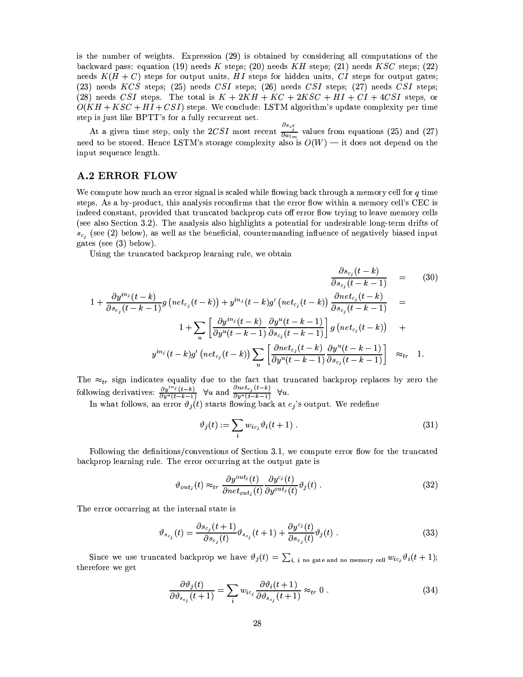is the number of weights. Expression (29) is obtained by considering all computations of the backward pass: equation (19) needs K steps; (20) needs KH steps; (21) needs KSC steps; (22) needs  $K(H+C)$  steps for output units, HI steps for hidden units, CI steps for output gates;  $(23)$  needs KCS steps;  $(25)$  needs CSI steps;  $(26)$  needs CSI steps;  $(27)$  needs CSI steps; (28) needs CSI steps. The total is  $K + 2KH + KC + 2KSC + HI + CI + 4CSI$  steps, or  $O(KH + KSC + HI + CSI)$  steps. We conclude: LSTM algorithm's update complexity per time step is just like BPTT's for a fully recurrent net.

At a given time step, only the 2CSI most recent  $\frac{\partial s_{c_j^n}}{\partial w_{lm}}$  values from equations (25) and (27) need to be stored. Hence LSTM's storage complexity also is  $O(W)$  — it does not depend on the input sequence length.

## **A.2 ERROR FLOW**

We compute how much an error signal is scaled while flowing back through a memory cell for  $q$  time steps. As a by-product, this analysis reconfirms that the error flow within a memory cell's CEC is indeed constant, provided that truncated backprop cuts off error flow trying to leave memory cells (see also Section 3.2). The analysis also highlights a potential for undesirable long-term drifts of  $s_{c_i}$  (see (2) below), as well as the beneficial, countermanding influence of negatively biased input gates (see  $(3)$  below).

Using the truncated backprop learning rule, we obtain

$$
\frac{\partial s_{c_j}(t-k)}{\partial s_{c_j}(t-k-1)} = (30)
$$
  

$$
1 + \frac{\partial y^{in_j}(t-k)}{\partial s_{c_j}(t-k-1)} g\left( net_{c_j}(t-k) \right) + y^{in_j}(t-k)g'\left( net_{c_j}(t-k) \right) \frac{\partial net_{c_j}(t-k)}{\partial s_{c_j}(t-k-1)} =
$$
  

$$
1 + \sum_{u} \left[ \frac{\partial y^{in_j}(t-k)}{\partial y^u(t-k-1)} \frac{\partial y^u(t-k-1)}{\partial s_{c_j}(t-k-1)} \right] g\left( net_{c_j}(t-k) \right) +
$$
  

$$
y^{in_j}(t-k)g'\left( net_{c_j}(t-k) \right) \sum_{u} \left[ \frac{\partial net_{c_j}(t-k)}{\partial y^u(t-k-1)} \frac{\partial y^u(t-k-1)}{\partial s_{c_j}(t-k-1)} \right] \approx_{tr} 1.
$$
 (30)

The  $\approx_{tr}$  sign indicates equality due to the fact that truncated backprop replaces by zero the following derivatives:  $\frac{\partial y^{i n_j}(t-k)}{\partial y^u(t-k-1)}$   $\forall u$  and  $\frac{\partial net_{cj}(t-k)}{\partial y^u(t-k-1)}$   $\forall u$ .<br>In what follows, an error  $\vartheta_j(t)$  starts flowing back at  $c_j$ 's output. We redefine

$$
\vartheta_j(t) := \sum_i w_{ic_j} \vartheta_i(t+1) \tag{31}
$$

Following the definitions/conventions of Section 3.1, we compute error flow for the truncated backprop learning rule. The error occurring at the output gate is

$$
\vartheta_{out_j}(t) \approx_{tr} \frac{\partial y^{out_j}(t)}{\partial net_{out_j}(t)} \frac{\partial y^{c_j}(t)}{\partial y^{out_j}(t)} \vartheta_j(t) . \tag{32}
$$

The error occurring at the internal state is

$$
\vartheta_{s_{c_j}}(t) = \frac{\partial s_{c_j}(t+1)}{\partial s_{c_j}(t)} \vartheta_{s_{c_j}}(t+1) + \frac{\partial y^{c_j}(t)}{\partial s_{c_j}(t)} \vartheta_j(t) . \tag{33}
$$

Since we use truncated backprop we have  $\vartheta_j(t) = \sum_{i,j} i_{\text{no gate and no memory cell}} w_{ic_j} \vartheta_i(t+1);$ therefore we get

$$
\frac{\partial \vartheta_j(t)}{\partial \vartheta_{s_{c_j}}(t+1)} = \sum_i w_{ic_j} \frac{\partial \vartheta_i(t+1)}{\partial \vartheta_{s_{c_j}}(t+1)} \approx_{tr} 0.
$$
\n(34)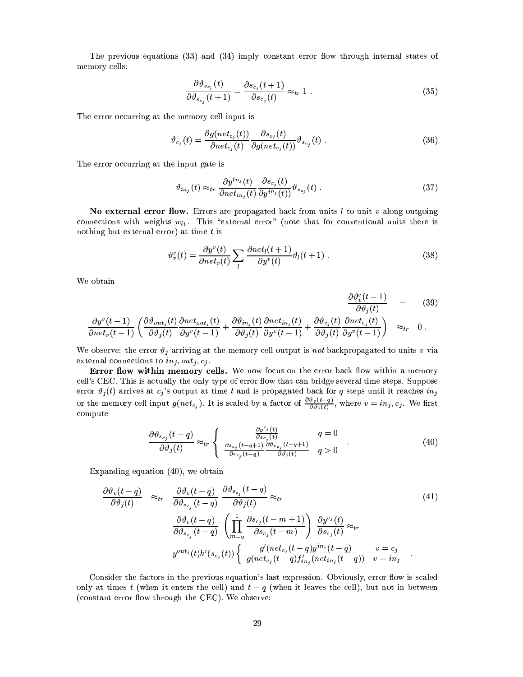The previous equations (33) and (34) imply constant error flow through internal states of memory cells:

$$
\frac{\partial \vartheta_{s_{c_j}}(t)}{\partial \vartheta_{s_{c_i}}(t+1)} = \frac{\partial s_{c_j}(t+1)}{\partial s_{c_j}(t)} \approx_{tr} 1.
$$
\n(35)

The error occurring at the memory cell input is

$$
\vartheta_{c_j}(t) = \frac{\partial g(net_{c_j}(t))}{\partial net_{c_j}(t)} \frac{\partial s_{c_j}(t)}{\partial g(net_{c_j}(t))} \vartheta_{s_{c_j}}(t) . \qquad (36)
$$

The error occurring at the input gate is

$$
\vartheta_{in_j}(t) \approx_{tr} \frac{\partial y^{in_j}(t)}{\partial net_{in_j}(t)} \frac{\partial s_{c_j}(t)}{\partial y^{in_j}(t)} \vartheta_{s_{c_j}}(t) . \tag{37}
$$

No external error flow. Errors are propagated back from units  $l$  to unit  $v$  along outgoing connections with weights  $w_{lv}$ . This "external error" (note that for conventional units there is nothing but external error) at time  $t$  is

$$
\vartheta_v^e(t) = \frac{\partial y^v(t)}{\partial net_v(t)} \sum_l \frac{\partial net_l(t+1)}{\partial y^v(t)} \vartheta_l(t+1) . \tag{38}
$$

We obtain

$$
\frac{\partial \vartheta_v^v(t-1)}{\partial \vartheta_j(t)} = (39)
$$
\n
$$
\frac{\partial \vartheta_v^v(t-1)}{\partial \vartheta_j(t)} = (\frac{\partial \vartheta_{out_j}(t)}{\partial \vartheta_j(t)} \frac{\partial net_{out_j}(t)}{\partial y^v(t-1)} + \frac{\partial \vartheta_{in_j}(t)}{\partial \vartheta_j(t)} \frac{\partial net_{in_j}(t)}{\partial y^v(t-1)} + \frac{\partial \vartheta_{c_j}(t)}{\partial \vartheta_j(t)} \frac{\partial net_{c_j}(t)}{\partial y^v(t-1)} \Big) \approx_{tr} 0.
$$

We observe: the error  $\vartheta_j$  arriving at the memory cell output is not backpropagated to units v via external connections to  $in_j, out_j, c_j$ .

Error flow within memory cells. We now focus on the error back flow within a memory cell's CEC. This is actually the only type of error flow that can bridge several time steps. Suppose error  $\vartheta_i(t)$  arrives at  $c_j$ 's output at time t and is propagated back for q steps until it reaches  $in_j$ or the memory cell input  $g(net_{c_j})$ . It is scaled by a factor of  $\frac{\partial \phi_v(t-q)}{\partial \theta_j(t)}$ , where  $v = in_j, c_j$ . We first compute

$$
\frac{\partial \vartheta_{s_{c_j}}(t-q)}{\partial \vartheta_j(t)} \approx_{tr} \left\{ \begin{array}{cc} \frac{\partial y^{cj}(t)}{\partial s_{c_j}(t)} & q = 0\\ \frac{\partial s_{c_j}(t-q+1)}{\partial s_{c_j}(t-q)} & \frac{\partial \vartheta_{s_{c_j}}(t-q+1)}{\partial \vartheta_j(t)} & q > 0 \end{array} \right. \tag{40}
$$

Expanding equation  $(40)$ , we obtain

$$
\frac{\partial \vartheta_v(t-q)}{\partial \vartheta_j(t)} \approx_{tr} \frac{\partial \vartheta_v(t-q)}{\partial \vartheta_{s_{c_j}}(t-q)} \frac{\partial \vartheta_{s_{c_j}}(t-q)}{\partial \vartheta_j(t)} \approx_{tr} \frac{\partial \vartheta_v(t-q)}{\partial \vartheta_{s_{c_j}}(t-q)} \left(\prod_{m=q}^1 \frac{\partial s_{c_j}(t-m+1)}{\partial s_{c_j}(t-m)}\right) \frac{\partial y^{c_j}(t)}{\partial s_{c_j}(t)} \approx_{tr} \frac{\vartheta^{u_{t_j}}(t) \wedge \vartheta^{u_{t_j}}(t)}{\vartheta^{u_{t_j}}(t) h'(s_{c_j}(t))} \left\{\n\begin{array}{ll}\ng'(net_{c_j}(t-q)y^{in_j}(t-q)) & v = c_j \\
g(net_{c_j}(t-q)f'_{in_j}(net_{in_j}(t-q)) & v = in_j\n\end{array}\n\right.
$$
\n
$$
(41)
$$

Consider the factors in the previous equation's last expression. Obviously, error flow is scaled only at times t (when it enters the cell) and  $t - q$  (when it leaves the cell), but not in between (constant error flow through the CEC). We observe: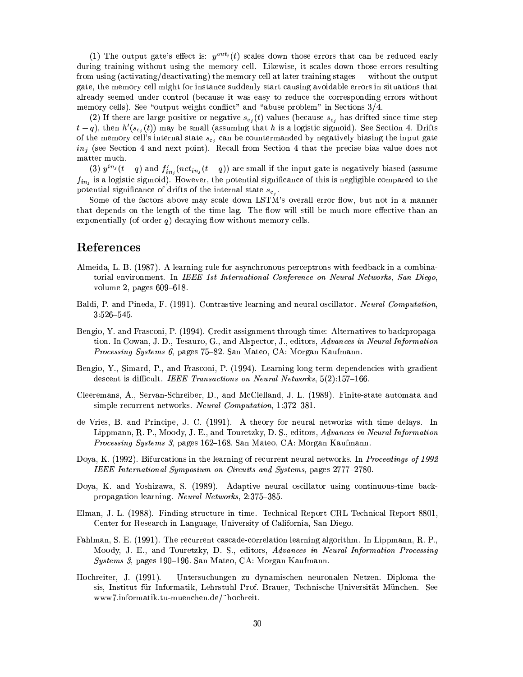(1) The output gate's effect is:  $y^{out}$  (t) scales down those errors that can be reduced early during training without using the memory cell. Likewise, it scales down those errors resulting from using (activating/deactivating) the memory cell at later training stages — without the output gate, the memory cell might for instance suddenly start causing avoidable errors in situations that already seemed under control (because it was easy to reduce the corresponding errors without memory cells). See "output weight conflict" and "abuse problem" in Sections 3/4.

(2) If there are large positive or negative  $s_{c_i}(t)$  values (because  $s_{c_i}$  has drifted since time step  $t-q$ , then  $h'(s_{c_i}(t))$  may be small (assuming that h is a logistic sigmoid). See Section 4. Drifts of the memory cell's internal state  $s_{c_i}$  can be countermanded by negatively biasing the input gate  $in_i$  (see Section 4 and next point). Recall from Section 4 that the precise bias value does not matter much.

(3)  $y^{in_j}(t-q)$  and  $f'_{in_j}(net_{in_j}(t-q))$  are small if the input gate is negatively biased (assume  $f_{in_j}$  is a logistic sigmoid). However, the potential significance of this is negligible compared to the potential significance of drifts of the internal state  $s_{c_i}$ .

Some of the factors above may scale down LSTM's overall error flow, but not in a manner that depends on the length of the time lag. The flow will still be much more effective than an exponentially (of order  $q$ ) decaying flow without memory cells.

## **References**

- Almeida, L. B. (1987). A learning rule for asynchronous perceptrons with feedback in a combinatorial environment. In IEEE 1st International Conference on Neural Networks, San Diego, volume 2, pages 609–618.
- Baldi, P. and Pineda, F. (1991). Contrastive learning and neural oscillator. Neural Computation,  $3:526 - 545.$
- Bengio, Y. and Frasconi, P. (1994). Credit assignment through time: Alternatives to backpropagation. In Cowan, J. D., Tesauro, G., and Alspector, J., editors, Advances in Neural Information *Processing Systems 6, pages 75–82. San Mateo, CA: Morgan Kaufmann.*
- Bengio, Y., Simard, P., and Frasconi, P. (1994). Learning long-term dependencies with gradient descent is difficult. IEEE Transactions on Neural Networks, 5(2):157–166.
- Cleeremans, A., Servan-Schreiber, D., and McClelland, J. L. (1989). Finite-state automata and simple recurrent networks. *Neural Computation*, 1:372–381.
- de Vries, B. and Principe, J. C. (1991). A theory for neural networks with time delays. In Lippmann, R. P., Moody, J. E., and Touretzky, D. S., editors, Advances in Neural Information *Processing Systems 3*, pages 162–168. San Mateo, CA: Morgan Kaufmann.
- Doya, K. (1992). Bifurcations in the learning of recurrent neural networks. In *Proceedings of 1992* IEEE International Symposium on Circuits and Systems, pages 2777-2780.
- Doya, K. and Yoshizawa, S. (1989). Adaptive neural oscillator using continuous-time backpropagation learning. Neural Networks, 2:375-385.
- Elman, J. L. (1988). Finding structure in time. Technical Report CRL Technical Report 8801, Center for Research in Language, University of California, San Diego.
- Fahlman, S. E. (1991). The recurrent cascade-correlation learning algorithm. In Lippmann, R. P., Moody, J. E., and Touretzky, D. S., editors, Advances in Neural Information Processing *Systems 3*, pages 190–196. San Mateo, CA: Morgan Kaufmann.
- Hochreiter, J. (1991). Untersuchungen zu dynamischen neuronalen Netzen. Diploma thesis, Institut für Informatik, Lehrstuhl Prof. Brauer, Technische Universität München. See www7.informatik.tu-muenchen.de/"hochreit.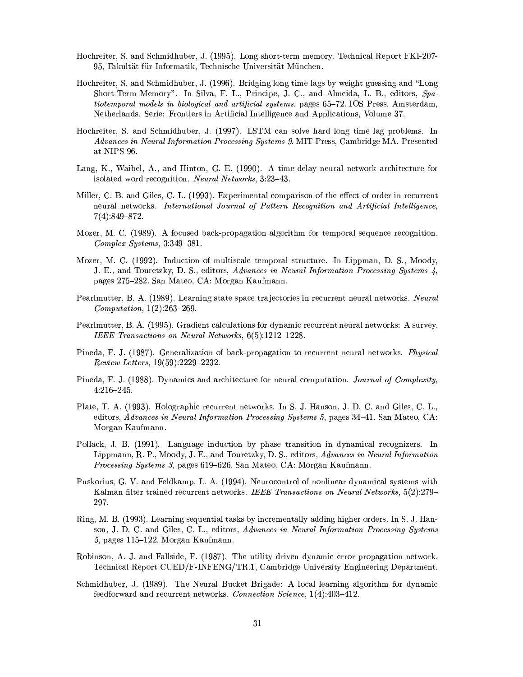- Hochreiter, S. and Schmidhuber, J. (1995). Long short-term memory. Technical Report FKI-207-95, Fakultät für Informatik, Technische Universität München.
- Hochreiter, S. and Schmidhuber, J. (1996). Bridging long time lags by weight guessing and "Long Short-Term Memory". In Silva, F. L., Principe, J. C., and Almeida, L. B., editors, Spatiotemporal models in biological and artificial systems, pages 65-72. IOS Press, Amsterdam, Netherlands. Serie: Frontiers in Artificial Intelligence and Applications, Volume 37.
- Hochreiter, S. and Schmidhuber, J. (1997). LSTM can solve hard long time lag problems. In Advances in Neural Information Processing Systems 9. MIT Press, Cambridge MA. Presented at NIPS 96.
- Lang, K., Waibel, A., and Hinton, G. E. (1990). A time-delay neural network architecture for isolated word recognition. Neural Networks, 3:23-43.
- Miller, C. B. and Giles, C. L. (1993). Experimental comparison of the effect of order in recurrent neural networks. International Journal of Pattern Recognition and Artificial Intelligence,  $7(4):849-872.$
- Mozer, M. C. (1989). A focused back-propagation algorithm for temporal sequence recognition. Complex Systems, 3:349-381.
- Mozer, M. C. (1992). Induction of multiscale temporal structure. In Lippman, D. S., Moody, J. E., and Touretzky, D. S., editors, Advances in Neural Information Processing Systems 4, pages 275-282. San Mateo, CA: Morgan Kaufmann.
- Pearlmutter, B. A. (1989). Learning state space trajectories in recurrent neural networks. Neural *Computation*,  $1(2):263-269$ .
- Pearlmutter, B. A. (1995). Gradient calculations for dynamic recurrent neural networks: A survey. IEEE Transactions on Neural Networks, 6(5):1212-1228.
- Pineda, F. J. (1987). Generalization of back-propagation to recurrent neural networks. Physical Review Letters, 19(59):2229-2232.
- Pineda, F. J. (1988). Dynamics and architecture for neural computation. Journal of Complexity,  $4:216 - 245.$
- Plate, T. A. (1993). Holographic recurrent networks. In S. J. Hanson, J. D. C. and Giles, C. L., editors, Advances in Neural Information Processing Systems 5, pages 34–41. San Mateo, CA: Morgan Kaufmann.
- Pollack, J. B. (1991). Language induction by phase transition in dynamical recognizers. In Lippmann, R. P., Moody, J. E., and Touretzky, D. S., editors, Advances in Neural Information Processing Systems 3, pages 619–626. San Mateo, CA: Morgan Kaufmann.
- Puskorius, G. V. and Feldkamp, L. A. (1994). Neurocontrol of nonlinear dynamical systems with Kalman filter trained recurrent networks. IEEE Transactions on Neural Networks, 5(2):279– 297.
- Ring, M. B. (1993). Learning sequential tasks by incrementally adding higher orders. In S. J. Hanson, J. D. C. and Giles, C. L., editors, Advances in Neural Information Processing Systems 5, pages 115-122. Morgan Kaufmann.
- Robinson, A. J. and Fallside, F. (1987). The utility driven dynamic error propagation network. Technical Report CUED/F-INFENG/TR.1, Cambridge University Engineering Department.
- Schmidhuber, J. (1989). The Neural Bucket Brigade: A local learning algorithm for dynamic feedforward and recurrent networks. Connection Science, 1(4):403-412.